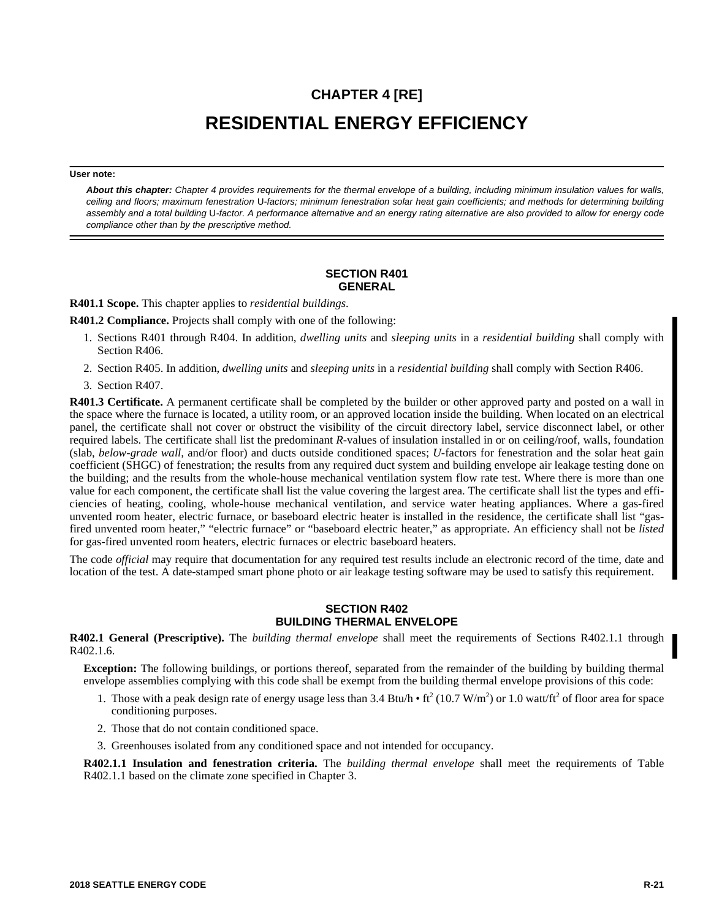# **CHAPTER 4 [RE] RESIDENTIAL ENERGY EFFICIENCY**

#### **User note:**

*About this chapter: Chapter 4 provides requirements for the thermal envelope of a building, including minimum insulation values for walls, ceiling and floors; maximum fenestration* U*-factors; minimum fenestration solar heat gain coefficients; and methods for determining building assembly and a total building* U*-factor. A performance alternative and an energy rating alternative are also provided to allow for energy code compliance other than by the prescriptive method.*

# **SECTION R401 GENERAL**

**R401.1 Scope.** This chapter applies to *residential buildings*.

**R401.2 Compliance.** Projects shall comply with one of the following:

- 1. Sections R401 through R404. In addition, *dwelling units* and *sleeping units* in a *residential building* shall comply with Section R406.
- 2. Section R405. In addition, *dwelling units* and *sleeping units* in a *residential building* shall comply with Section R406.
- 3. Section R407.

**R401.3 Certificate.** A permanent certificate shall be completed by the builder or other approved party and posted on a wall in the space where the furnace is located, a utility room, or an approved location inside the building. When located on an electrical panel, the certificate shall not cover or obstruct the visibility of the circuit directory label, service disconnect label, or other required labels. The certificate shall list the predominant *R-*values of insulation installed in or on ceiling/roof, walls, foundation (slab, *below-grade wall,* and/or floor) and ducts outside conditioned spaces; *U-*factors for fenestration and the solar heat gain coefficient (SHGC) of fenestration; the results from any required duct system and building envelope air leakage testing done on the building; and the results from the whole-house mechanical ventilation system flow rate test. Where there is more than one value for each component, the certificate shall list the value covering the largest area. The certificate shall list the types and efficiencies of heating, cooling, whole-house mechanical ventilation, and service water heating appliances. Where a gas-fired unvented room heater, electric furnace, or baseboard electric heater is installed in the residence, the certificate shall list "gasfired unvented room heater," "electric furnace" or "baseboard electric heater," as appropriate. An efficiency shall not be *listed* for gas-fired unvented room heaters, electric furnaces or electric baseboard heaters.

The code *official* may require that documentation for any required test results include an electronic record of the time, date and location of the test. A date-stamped smart phone photo or air leakage testing software may be used to satisfy this requirement.

# **SECTION R402 BUILDING THERMAL ENVELOPE**

**R402.1 General (Prescriptive).** The *building thermal envelope* shall meet the requirements of Sections R402.1.1 through R402.1.6.

**Exception:** The following buildings, or portions thereof, separated from the remainder of the building by building thermal envelope assemblies complying with this code shall be exempt from the building thermal envelope provisions of this code:

- 1. Those with a peak design rate of energy usage less than  $3.4 \text{ Btu/h} \cdot \text{ft}^2 (10.7 \text{ W/m}^2)$  or  $1.0 \text{ watt/ft}^2$  of floor area for space conditioning purposes.
- 2. Those that do not contain conditioned space.
- 3. Greenhouses isolated from any conditioned space and not intended for occupancy.

**R402.1.1 Insulation and fenestration criteria.** The *building thermal envelope* shall meet the requirements of Table R402.1.1 based on the climate zone specified in Chapter 3.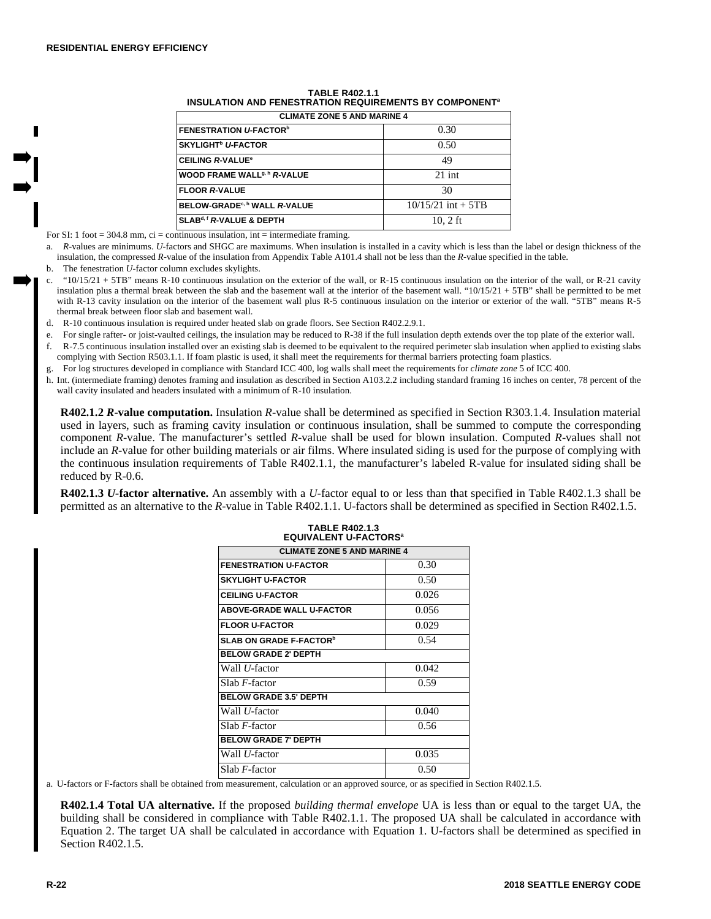| <b>CLIMATE ZONE 5 AND MARINE 4</b>        |                      |  |
|-------------------------------------------|----------------------|--|
| <b>FENESTRATION U-FACTOR</b> <sup>b</sup> | 0.30                 |  |
| <b>SKYLIGHT<sup>b</sup> U-FACTOR</b>      | 0.50                 |  |
| <b>CEILING R-VALUE<sup>®</sup></b>        | 49                   |  |
| WOOD FRAME WALL <sup>9, h</sup> R-VALUE   | $21$ int             |  |
| <b>FLOOR R-VALUE</b>                      | 30                   |  |
| BELOW-GRADE <sup>c, h</sup> WALL R-VALUE  | $10/15/21$ int + 5TB |  |
| SLAB <sup>d, f</sup> R-VALUE & DEPTH      | $10.2$ ft            |  |

## **TABLE R402.1.1 INSULATION AND FENESTRATION REQUIREMENTS BY COMPONENT<sup>a</sup>**

For SI: 1 foot = 304.8 mm,  $ci =$  continuous insulation, int = intermediate framing.

a. *R-*values are minimums. *U-*factors and SHGC are maximums. When insulation is installed in a cavity which is less than the label or design thickness of the insulation, the compressed *R-*value of the insulation from Appendix Table A101.4 shall not be less than the *R-*value specified in the table.

b. The fenestration *U-*factor column excludes skylights.

- c. "10/15/21 + 5TB" means R-10 continuous insulation on the exterior of the wall, or R-15 continuous insulation on the interior of the wall, or R-21 cavity insulation plus a thermal break between the slab and the basement wall at the interior of the basement wall. " $10/15/21 + 5$ TB" shall be permitted to be met with R-13 cavity insulation on the interior of the basement wall plus R-5 continuous insulation on the interior or exterior of the wall. "5TB" means R-5 thermal break between floor slab and basement wall.
- d. R-10 continuous insulation is required under heated slab on grade floors. See Section R402.2.9.1.
- e. For single rafter- or joist-vaulted ceilings, the insulation may be reduced to R-38 if the full insulation depth extends over the top plate of the exterior wall.
- f. R-7.5 continuous insulation installed over an existing slab is deemed to be equivalent to the required perimeter slab insulation when applied to existing slabs complying with Section R503.1.1. If foam plastic is used, it shall meet the requirements for thermal barriers protecting foam plastics.
- g. For log structures developed in compliance with Standard ICC 400, log walls shall meet the requirements for *climate zone* 5 of ICC 400.
- h. Int. (intermediate framing) denotes framing and insulation as described in Section A103.2.2 including standard framing 16 inches on center, 78 percent of the wall cavity insulated and headers insulated with a minimum of R-10 insulation.

**R402.1.2** *R-***value computation.** Insulation *R-*value shall be determined as specified in Section R303.1.4. Insulation material used in layers, such as framing cavity insulation or continuous insulation, shall be summed to compute the corresponding component *R-*value. The manufacturer's settled *R-*value shall be used for blown insulation. Computed *R-*values shall not include an *R-*value for other building materials or air films. Where insulated siding is used for the purpose of complying with the continuous insulation requirements of Table R402.1.1, the manufacturer's labeled R-value for insulated siding shall be reduced by R-0.6.

**R402.1.3** *U-***factor alternative.** An assembly with a *U-*factor equal to or less than that specified in Table R402.1.3 shall be permitted as an alternative to the *R-*value in Table R402.1.1. U-factors shall be determined as specified in Section R402.1.5.

| EUUIVALENTU-FACTORS"                              |       |  |  |  |
|---------------------------------------------------|-------|--|--|--|
| <b>CLIMATE ZONE 5 AND MARINE 4</b>                |       |  |  |  |
| <b>FENESTRATION U-FACTOR</b>                      | 0.30  |  |  |  |
| <b>SKYLIGHT U-FACTOR</b>                          | 0.50  |  |  |  |
| <b>CEILING U-FACTOR</b>                           | 0.026 |  |  |  |
| <b>ABOVE-GRADE WALL U-FACTOR</b>                  | 0.056 |  |  |  |
| <b>FLOOR U-FACTOR</b>                             | 0.029 |  |  |  |
| 0.54<br><b>SLAB ON GRADE F-FACTOR<sup>b</sup></b> |       |  |  |  |
| <b>BELOW GRADE 2' DEPTH</b>                       |       |  |  |  |
| Wall <i>U</i> -factor                             | 0.042 |  |  |  |
| Slab <i>F</i> -factor                             | 0.59  |  |  |  |
| <b>BELOW GRADE 3.5' DEPTH</b>                     |       |  |  |  |
| Wall <i>U</i> -factor                             | 0.040 |  |  |  |
| Slab $F$ -factor<br>0.56                          |       |  |  |  |
| <b>BELOW GRADE 7' DEPTH</b>                       |       |  |  |  |
| Wall <i>U</i> -factor                             | 0.035 |  |  |  |
| Slab $F$ -factor                                  | 0.50  |  |  |  |

**TABLE R402.1.3 EQUIVALENT U-FACTORS<sup>a</sup>**

a. U-factors or F-factors shall be obtained from measurement, calculation or an approved source, or as specified in Section R402.1.5.

**R402.1.4 Total UA alternative.** If the proposed *building thermal envelope* UA is less than or equal to the target UA, the building shall be considered in compliance with Table R402.1.1. The proposed UA shall be calculated in accordance with Equation 2. The target UA shall be calculated in accordance with Equation 1. U-factors shall be determined as specified in Section R402.1.5.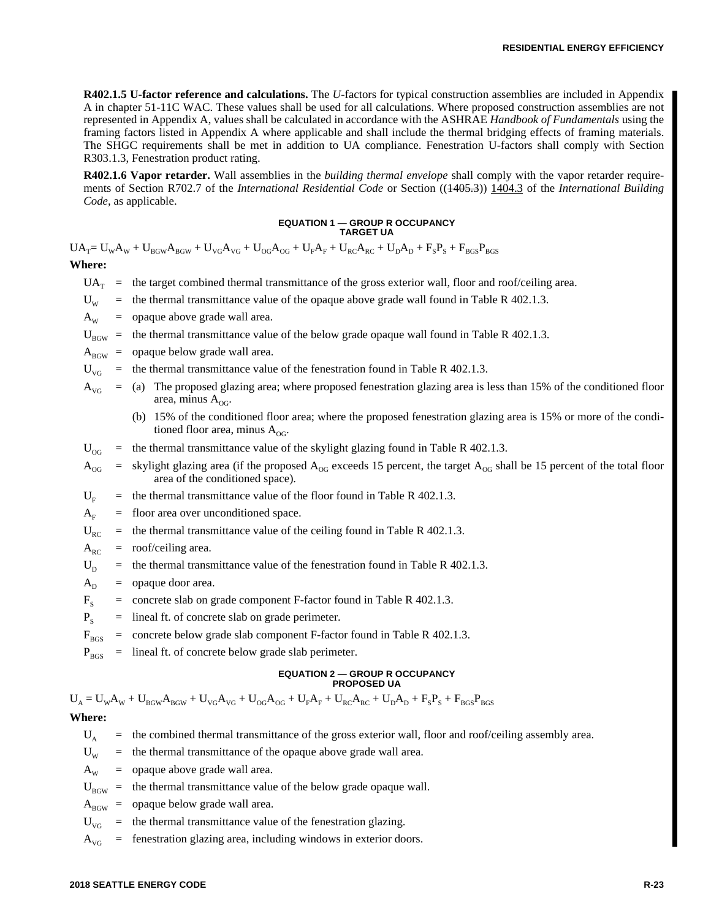**R402.1.5 U-factor reference and calculations.** The *U-*factors for typical construction assemblies are included in Appendix A in chapter 51-11C WAC. These values shall be used for all calculations. Where proposed construction assemblies are not represented in Appendix A, values shall be calculated in accordance with the ASHRAE *Handbook of Fundamentals* using the framing factors listed in Appendix A where applicable and shall include the thermal bridging effects of framing materials. The SHGC requirements shall be met in addition to UA compliance. Fenestration U-factors shall comply with Section R303.1.3, Fenestration product rating.

**R402.1.6 Vapor retarder.** Wall assemblies in the *building thermal envelope* shall comply with the vapor retarder requirements of Section R702.7 of the *International Residential Code* or Section ((1405.3)) 1404.3 of the *International Building Code,* as applicable.

#### **EQUATION 1 — GROUP R OCCUPANCY TARGET UA**

 $UA_T = U_w A_w + U_{BGW} A_{BGW} + U_{\gamma G} A_{\gamma G} + U_{\rho G} A_{\rho G} + U_F A_F + U_{RC} A_{RC} + U_D A_D + F_S P_S + F_{BGS} P_{BGS}$ **Where:**

- $UA_T$  = the target combined thermal transmittance of the gross exterior wall, floor and roof/ceiling area.
- $U_w$  = the thermal transmittance value of the opaque above grade wall found in Table R 402.1.3.
- $A_w$  = opaque above grade wall area.

 $U_{\text{B}6W}$  = the thermal transmittance value of the below grade opaque wall found in Table R 402.1.3.

- $A_{\text{BGW}}$  = opaque below grade wall area.
- $U_{\text{VG}}$  = the thermal transmittance value of the fenestration found in Table R 402.1.3.
- $A_{\rm\scriptscriptstyle VG}$  = (a) The proposed glazing area; where proposed fenestration glazing area is less than 15% of the conditioned floor area, minus  $A_{OG}$ .
	- (b) 15% of the conditioned floor area; where the proposed fenestration glazing area is 15% or more of the conditioned floor area, minus  $A_{\text{OG}}$ .
- $U_{\text{OG}}$  = the thermal transmittance value of the skylight glazing found in Table R 402.1.3.
- $A_{OG}$  = skylight glazing area (if the proposed  $A_{OG}$  exceeds 15 percent, the target  $A_{OG}$  shall be 15 percent of the total floor area of the conditioned space).
- $U<sub>F</sub>$  = the thermal transmittance value of the floor found in Table R 402.1.3.
- $A<sub>F</sub>$  = floor area over unconditioned space.
- $U_{RC}$  = the thermal transmittance value of the ceiling found in Table R 402.1.3.
- $A_{RC}$  = roof/ceiling area.
- $U_D$  = the thermal transmittance value of the fenestration found in Table R 402.1.3.
- $A_D$  = opaque door area.
- $F<sub>s</sub>$  = concrete slab on grade component F-factor found in Table R 402.1.3.
- $P<sub>S</sub>$  = lineal ft. of concrete slab on grade perimeter.
- $F<sub>BGS</sub>$  = concrete below grade slab component F-factor found in Table R 402.1.3.
- $P_{BGS}$  = lineal ft. of concrete below grade slab perimeter.

#### **EQUATION 2 — GROUP R OCCUPANCY PROPOSED UA**

 $U_A = U_W A_W + U_{BGW} A_{BGW} + U_{VG} A_{VG} + U_{OG} A_{OG} + U_F A_F + U_{RC} A_{RC} + U_D A_D + F_S P_S + F_{BGS} P_{BGS}$ 

# **Where:**

- $U_A$  = the combined thermal transmittance of the gross exterior wall, floor and roof/ceiling assembly area.
- $U_w$  = the thermal transmittance of the opaque above grade wall area.
- $A_w$  = opaque above grade wall area.
- $U_{\text{new}}$  = the thermal transmittance value of the below grade opaque wall.
- $A_{\text{BGW}}$  = opaque below grade wall area.
- $U_{\text{VG}}$  = the thermal transmittance value of the fenestration glazing.
- $A_{\text{VG}}$  = fenestration glazing area, including windows in exterior doors.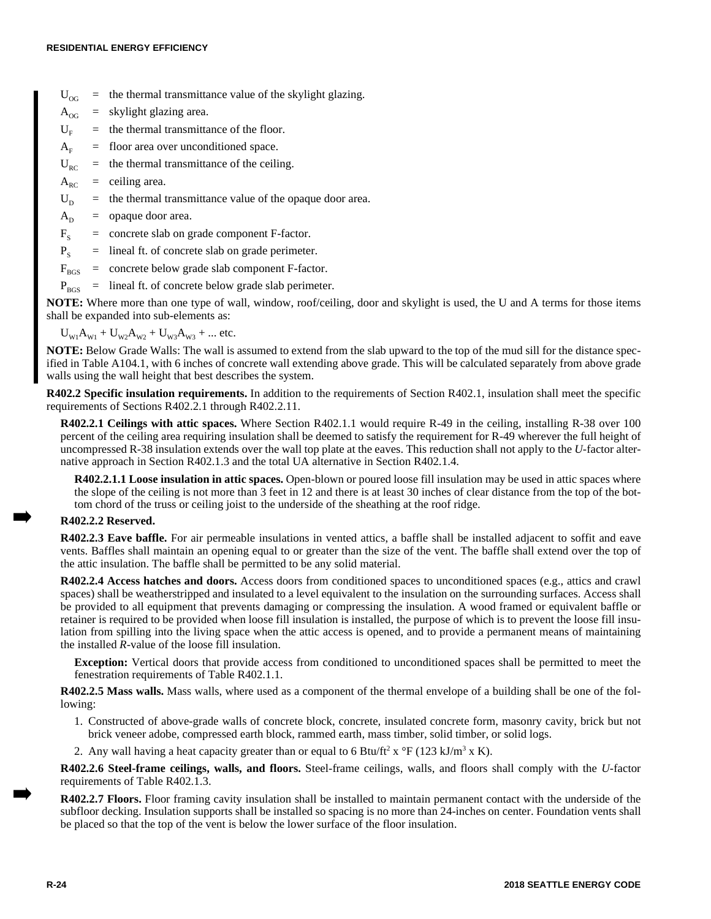$U_{OG}$  = the thermal transmittance value of the skylight glazing.

 $A_{OG}$  = skylight glazing area.

- $U_F$  = the thermal transmittance of the floor.
- $A<sub>F</sub>$  = floor area over unconditioned space.
- $U_{RC}$  = the thermal transmittance of the ceiling.
- $A_{RC}$  = ceiling area.

 $U_D$  = the thermal transmittance value of the opaque door area.

 $A_D$  = opaque door area.

 $F_s$  = concrete slab on grade component F-factor.

 $P<sub>S</sub>$  = lineal ft. of concrete slab on grade perimeter.

 $F<sub>BCS</sub>$  = concrete below grade slab component F-factor.

 $P_{BGS}$  = lineal ft. of concrete below grade slab perimeter.

**NOTE:** Where more than one type of wall, window, roof/ceiling, door and skylight is used, the U and A terms for those items shall be expanded into sub-elements as:

 $U_{W1}A_{W1} + U_{W2}A_{W2} + U_{W3}A_{W3} + ...$  etc.

**NOTE:** Below Grade Walls: The wall is assumed to extend from the slab upward to the top of the mud sill for the distance specified in Table A104.1, with 6 inches of concrete wall extending above grade. This will be calculated separately from above grade walls using the wall height that best describes the system.

**R402.2 Specific insulation requirements.** In addition to the requirements of Section R402.1, insulation shall meet the specific requirements of Sections R402.2.1 through R402.2.11.

**R402.2.1 Ceilings with attic spaces.** Where Section R402.1.1 would require R-49 in the ceiling, installing R-38 over 100 percent of the ceiling area requiring insulation shall be deemed to satisfy the requirement for R-49 wherever the full height of uncompressed R-38 insulation extends over the wall top plate at the eaves. This reduction shall not apply to the *U-*factor alternative approach in Section R402.1.3 and the total UA alternative in Section R402.1.4.

**R402.2.1.1 Loose insulation in attic spaces.** Open-blown or poured loose fill insulation may be used in attic spaces where the slope of the ceiling is not more than 3 feet in 12 and there is at least 30 inches of clear distance from the top of the bottom chord of the truss or ceiling joist to the underside of the sheathing at the roof ridge.

# **R402.2.2 Reserved.**

**R402.2.3 Eave baffle.** For air permeable insulations in vented attics, a baffle shall be installed adjacent to soffit and eave vents. Baffles shall maintain an opening equal to or greater than the size of the vent. The baffle shall extend over the top of the attic insulation. The baffle shall be permitted to be any solid material.

**R402.2.4 Access hatches and doors.** Access doors from conditioned spaces to unconditioned spaces (e.g., attics and crawl spaces) shall be weatherstripped and insulated to a level equivalent to the insulation on the surrounding surfaces. Access shall be provided to all equipment that prevents damaging or compressing the insulation. A wood framed or equivalent baffle or retainer is required to be provided when loose fill insulation is installed, the purpose of which is to prevent the loose fill insulation from spilling into the living space when the attic access is opened, and to provide a permanent means of maintaining the installed *R-*value of the loose fill insulation.

**Exception:** Vertical doors that provide access from conditioned to unconditioned spaces shall be permitted to meet the fenestration requirements of Table R402.1.1.

**R402.2.5 Mass walls.** Mass walls, where used as a component of the thermal envelope of a building shall be one of the following:

- 1. Constructed of above-grade walls of concrete block, concrete, insulated concrete form, masonry cavity, brick but not brick veneer adobe, compressed earth block, rammed earth, mass timber, solid timber, or solid logs.
- 2. Any wall having a heat capacity greater than or equal to 6 Btu/ft<sup>2</sup> x  $\rm{^{\circ}F}$  (123 kJ/m<sup>3</sup> x K).

**R402.2.6 Steel-frame ceilings, walls, and floors.** Steel-frame ceilings, walls, and floors shall comply with the *U-*factor requirements of Table R402.1.3.

**R402.2.7 Floors.** Floor framing cavity insulation shall be installed to maintain permanent contact with the underside of the subfloor decking. Insulation supports shall be installed so spacing is no more than 24-inches on center. Foundation vents shall be placed so that the top of the vent is below the lower surface of the floor insulation.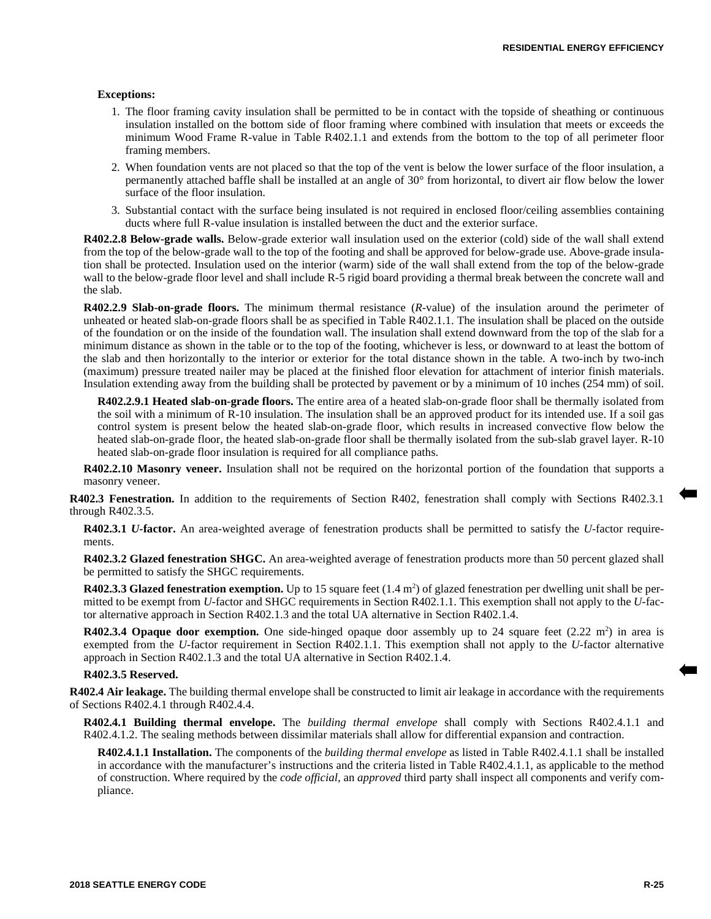#### **Exceptions:**

- 1. The floor framing cavity insulation shall be permitted to be in contact with the topside of sheathing or continuous insulation installed on the bottom side of floor framing where combined with insulation that meets or exceeds the minimum Wood Frame R-value in Table R402.1.1 and extends from the bottom to the top of all perimeter floor framing members.
- 2. When foundation vents are not placed so that the top of the vent is below the lower surface of the floor insulation, a permanently attached baffle shall be installed at an angle of 30° from horizontal, to divert air flow below the lower surface of the floor insulation.
- 3. Substantial contact with the surface being insulated is not required in enclosed floor/ceiling assemblies containing ducts where full R-value insulation is installed between the duct and the exterior surface.

**R402.2.8 Below-grade walls.** Below-grade exterior wall insulation used on the exterior (cold) side of the wall shall extend from the top of the below-grade wall to the top of the footing and shall be approved for below-grade use. Above-grade insulation shall be protected. Insulation used on the interior (warm) side of the wall shall extend from the top of the below-grade wall to the below-grade floor level and shall include R-5 rigid board providing a thermal break between the concrete wall and the slab.

**R402.2.9 Slab-on-grade floors.** The minimum thermal resistance (*R-*value) of the insulation around the perimeter of unheated or heated slab-on-grade floors shall be as specified in Table R402.1.1. The insulation shall be placed on the outside of the foundation or on the inside of the foundation wall. The insulation shall extend downward from the top of the slab for a minimum distance as shown in the table or to the top of the footing, whichever is less, or downward to at least the bottom of the slab and then horizontally to the interior or exterior for the total distance shown in the table. A two-inch by two-inch (maximum) pressure treated nailer may be placed at the finished floor elevation for attachment of interior finish materials. Insulation extending away from the building shall be protected by pavement or by a minimum of 10 inches (254 mm) of soil.

**R402.2.9.1 Heated slab-on-grade floors.** The entire area of a heated slab-on-grade floor shall be thermally isolated from the soil with a minimum of R-10 insulation. The insulation shall be an approved product for its intended use. If a soil gas control system is present below the heated slab-on-grade floor, which results in increased convective flow below the heated slab-on-grade floor, the heated slab-on-grade floor shall be thermally isolated from the sub-slab gravel layer. R-10 heated slab-on-grade floor insulation is required for all compliance paths.

**R402.2.10 Masonry veneer.** Insulation shall not be required on the horizontal portion of the foundation that supports a masonry veneer.

**R402.3 Fenestration.** In addition to the requirements of Section R402, fenestration shall comply with Sections R402.3.1 through R402.3.5.

**R402.3.1** *U-***factor.** An area-weighted average of fenestration products shall be permitted to satisfy the *U-*factor requirements.

**R402.3.2 Glazed fenestration SHGC.** An area-weighted average of fenestration products more than 50 percent glazed shall be permitted to satisfy the SHGC requirements.

**R402.3.3 Glazed fenestration exemption.** Up to 15 square feet  $(1.4 \text{ m}^2)$  of glazed fenestration per dwelling unit shall be permitted to be exempt from *U-*factor and SHGC requirements in Section R402.1.1. This exemption shall not apply to the *U-*factor alternative approach in Section R402.1.3 and the total UA alternative in Section R402.1.4.

**R402.3.4 Opaque door exemption.** One side-hinged opaque door assembly up to 24 square feet (2.22 m<sup>2</sup>) in area is exempted from the *U-*factor requirement in Section R402.1.1. This exemption shall not apply to the *U-*factor alternative approach in Section R402.1.3 and the total UA alternative in Section R402.1.4.

## **R402.3.5 Reserved.**

**R402.4 Air leakage.** The building thermal envelope shall be constructed to limit air leakage in accordance with the requirements of Sections R402.4.1 through R402.4.4.

**R402.4.1 Building thermal envelope.** The *building thermal envelope* shall comply with Sections R402.4.1.1 and R402.4.1.2. The sealing methods between dissimilar materials shall allow for differential expansion and contraction.

**R402.4.1.1 Installation.** The components of the *building thermal envelope* as listed in Table R402.4.1.1 shall be installed in accordance with the manufacturer's instructions and the criteria listed in Table R402.4.1.1, as applicable to the method of construction. Where required by the *code official,* an *approved* third party shall inspect all components and verify compliance.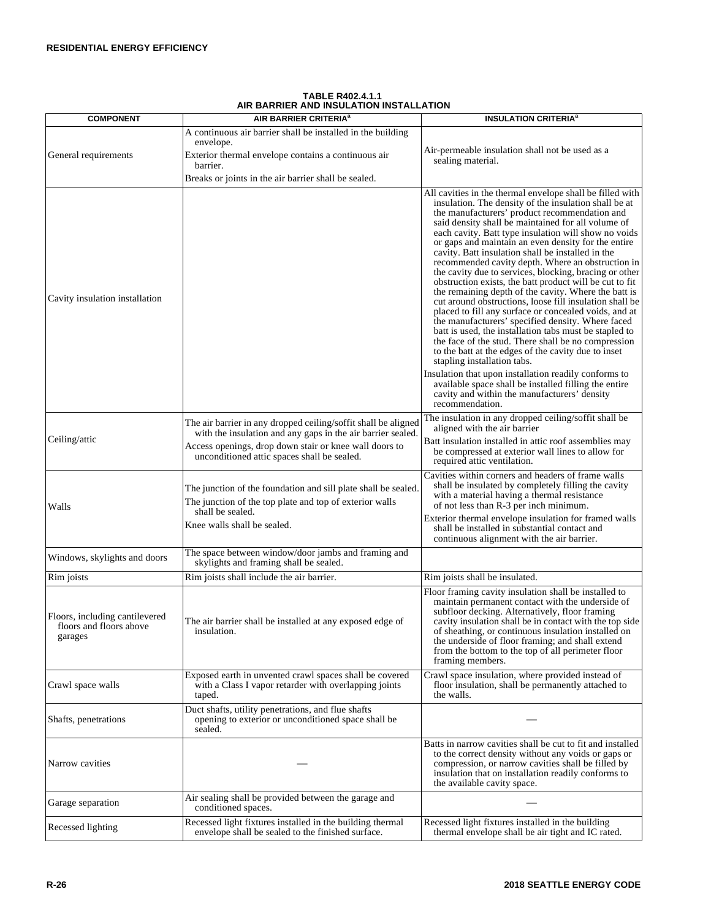|                                                                      | יוטו חבובת הניון יוטור חבוטניון שווה חבורות                                                                                                   |                                                                                                                                                                                                                                                                                                                                                                                                                                                                                                                                                                                                                                                                                                                                                                                                                                                                                                                                                                                                                                                                                                                                                                                   |
|----------------------------------------------------------------------|-----------------------------------------------------------------------------------------------------------------------------------------------|-----------------------------------------------------------------------------------------------------------------------------------------------------------------------------------------------------------------------------------------------------------------------------------------------------------------------------------------------------------------------------------------------------------------------------------------------------------------------------------------------------------------------------------------------------------------------------------------------------------------------------------------------------------------------------------------------------------------------------------------------------------------------------------------------------------------------------------------------------------------------------------------------------------------------------------------------------------------------------------------------------------------------------------------------------------------------------------------------------------------------------------------------------------------------------------|
| <b>COMPONENT</b>                                                     | AIR BARRIER CRITERIA <sup>a</sup>                                                                                                             | <b>INSULATION CRITERIA<sup>a</sup></b>                                                                                                                                                                                                                                                                                                                                                                                                                                                                                                                                                                                                                                                                                                                                                                                                                                                                                                                                                                                                                                                                                                                                            |
|                                                                      | A continuous air barrier shall be installed in the building                                                                                   |                                                                                                                                                                                                                                                                                                                                                                                                                                                                                                                                                                                                                                                                                                                                                                                                                                                                                                                                                                                                                                                                                                                                                                                   |
| General requirements                                                 | envelope.<br>Exterior thermal envelope contains a continuous air<br>barrier.                                                                  | Air-permeable insulation shall not be used as a<br>sealing material.                                                                                                                                                                                                                                                                                                                                                                                                                                                                                                                                                                                                                                                                                                                                                                                                                                                                                                                                                                                                                                                                                                              |
|                                                                      | Breaks or joints in the air barrier shall be sealed.                                                                                          |                                                                                                                                                                                                                                                                                                                                                                                                                                                                                                                                                                                                                                                                                                                                                                                                                                                                                                                                                                                                                                                                                                                                                                                   |
| Cavity insulation installation                                       |                                                                                                                                               | All cavities in the thermal envelope shall be filled with<br>insulation. The density of the insulation shall be at<br>the manufacturers' product recommendation and<br>said density shall be maintained for all volume of<br>each cavity. Batt type insulation will show no voids<br>or gaps and maintain an even density for the entire<br>cavity. Batt insulation shall be installed in the<br>recommended cavity depth. Where an obstruction in<br>the cavity due to services, blocking, bracing or other<br>obstruction exists, the batt product will be cut to fit<br>the remaining depth of the cavity. Where the batt is<br>cut around obstructions, loose fill insulation shall be<br>placed to fill any surface or concealed voids, and at<br>the manufacturers' specified density. Where faced<br>batt is used, the installation tabs must be stapled to<br>the face of the stud. There shall be no compression<br>to the batt at the edges of the cavity due to inset<br>stapling installation tabs.<br>Insulation that upon installation readily conforms to<br>available space shall be installed filling the entire<br>cavity and within the manufacturers' density |
|                                                                      |                                                                                                                                               | recommendation.<br>The insulation in any dropped ceiling/soffit shall be                                                                                                                                                                                                                                                                                                                                                                                                                                                                                                                                                                                                                                                                                                                                                                                                                                                                                                                                                                                                                                                                                                          |
|                                                                      | The air barrier in any dropped ceiling/soffit shall be aligned<br>with the insulation and any gaps in the air barrier sealed.                 | aligned with the air barrier                                                                                                                                                                                                                                                                                                                                                                                                                                                                                                                                                                                                                                                                                                                                                                                                                                                                                                                                                                                                                                                                                                                                                      |
| Ceiling/attic                                                        | Access openings, drop down stair or knee wall doors to<br>unconditioned attic spaces shall be sealed.                                         | Batt insulation installed in attic roof assemblies may<br>be compressed at exterior wall lines to allow for<br>required attic ventilation.                                                                                                                                                                                                                                                                                                                                                                                                                                                                                                                                                                                                                                                                                                                                                                                                                                                                                                                                                                                                                                        |
| Walls                                                                | The junction of the foundation and sill plate shall be sealed.<br>The junction of the top plate and top of exterior walls<br>shall be sealed. | Cavities within corners and headers of frame walls<br>shall be insulated by completely filling the cavity<br>with a material having a thermal resistance<br>of not less than R-3 per inch minimum.<br>Exterior thermal envelope insulation for framed walls                                                                                                                                                                                                                                                                                                                                                                                                                                                                                                                                                                                                                                                                                                                                                                                                                                                                                                                       |
|                                                                      | Knee walls shall be sealed.                                                                                                                   | shall be installed in substantial contact and<br>continuous alignment with the air barrier.                                                                                                                                                                                                                                                                                                                                                                                                                                                                                                                                                                                                                                                                                                                                                                                                                                                                                                                                                                                                                                                                                       |
| Windows, skylights and doors                                         | The space between window/door jambs and framing and<br>skylights and framing shall be sealed.                                                 |                                                                                                                                                                                                                                                                                                                                                                                                                                                                                                                                                                                                                                                                                                                                                                                                                                                                                                                                                                                                                                                                                                                                                                                   |
| Rim joists                                                           | Rim joists shall include the air barrier.                                                                                                     | Rim joists shall be insulated.                                                                                                                                                                                                                                                                                                                                                                                                                                                                                                                                                                                                                                                                                                                                                                                                                                                                                                                                                                                                                                                                                                                                                    |
| Floors, including cantilevered<br>floors and floors above<br>garages | The air barrier shall be installed at any exposed edge of<br>insulation.                                                                      | Floor framing cavity insulation shall be installed to<br>maintain permanent contact with the underside of<br>subfloor decking. Alternatively, floor framing<br>cavity insulation shall be in contact with the top side<br>of sheathing, or continuous insulation installed on<br>the underside of floor framing; and shall extend<br>from the bottom to the top of all perimeter floor<br>framing members.                                                                                                                                                                                                                                                                                                                                                                                                                                                                                                                                                                                                                                                                                                                                                                        |
| Crawl space walls                                                    | Exposed earth in unvented crawl spaces shall be covered<br>with a Class I vapor retarder with overlapping joints<br>taped.                    | Crawl space insulation, where provided instead of<br>floor insulation, shall be permanently attached to<br>the walls.                                                                                                                                                                                                                                                                                                                                                                                                                                                                                                                                                                                                                                                                                                                                                                                                                                                                                                                                                                                                                                                             |
| Shafts, penetrations                                                 | Duct shafts, utility penetrations, and flue shafts<br>opening to exterior or unconditioned space shall be.<br>sealed.                         |                                                                                                                                                                                                                                                                                                                                                                                                                                                                                                                                                                                                                                                                                                                                                                                                                                                                                                                                                                                                                                                                                                                                                                                   |
| Narrow cavities                                                      |                                                                                                                                               | Batts in narrow cavities shall be cut to fit and installed<br>to the correct density without any voids or gaps or<br>compression, or narrow cavities shall be filled by<br>insulation that on installation readily conforms to<br>the available cavity space.                                                                                                                                                                                                                                                                                                                                                                                                                                                                                                                                                                                                                                                                                                                                                                                                                                                                                                                     |
| Garage separation                                                    | Air sealing shall be provided between the garage and<br>conditioned spaces.                                                                   |                                                                                                                                                                                                                                                                                                                                                                                                                                                                                                                                                                                                                                                                                                                                                                                                                                                                                                                                                                                                                                                                                                                                                                                   |
| Recessed lighting                                                    | Recessed light fixtures installed in the building thermal<br>envelope shall be sealed to the finished surface.                                | Recessed light fixtures installed in the building<br>thermal envelope shall be air tight and IC rated.                                                                                                                                                                                                                                                                                                                                                                                                                                                                                                                                                                                                                                                                                                                                                                                                                                                                                                                                                                                                                                                                            |

#### **TABLE R402.4.1.1 AIR BARRIER AND INSULATION INSTALLATION**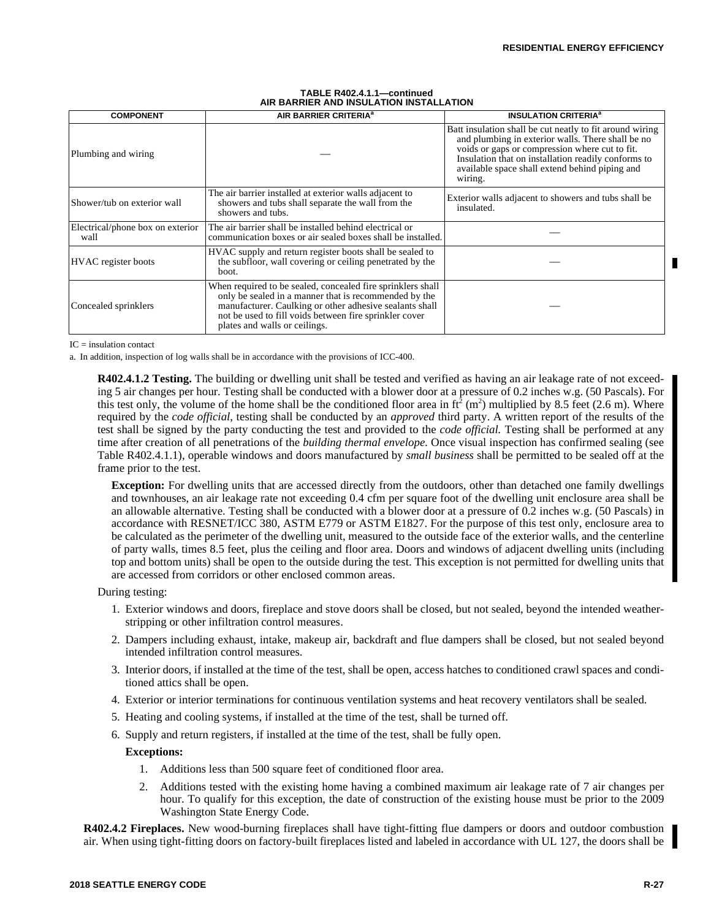| TABLE R402.4.1.1-continued              |  |
|-----------------------------------------|--|
| AIR BARRIER AND INSULATION INSTALLATION |  |
| $\overline{\phantom{a}}$                |  |

| <b>COMPONENT</b>                         | AIR BARRIER CRITERIA <sup>a</sup>                                                                                                                                                                                                                                          | <b>INSULATION CRITERIA<sup>a</sup></b>                                                                                                                                                                                                                                              |  |
|------------------------------------------|----------------------------------------------------------------------------------------------------------------------------------------------------------------------------------------------------------------------------------------------------------------------------|-------------------------------------------------------------------------------------------------------------------------------------------------------------------------------------------------------------------------------------------------------------------------------------|--|
| Plumbing and wiring                      |                                                                                                                                                                                                                                                                            | Batt insulation shall be cut neatly to fit around wiring<br>and plumbing in exterior walls. There shall be no<br>voids or gaps or compression where cut to fit.<br>Insulation that on installation readily conforms to<br>available space shall extend behind piping and<br>wiring. |  |
| Shower/tub on exterior wall              | The air barrier installed at exterior walls adjacent to<br>showers and tubs shall separate the wall from the<br>showers and tubs.                                                                                                                                          | Exterior walls adjacent to showers and tubs shall be<br>insulated.                                                                                                                                                                                                                  |  |
| Electrical/phone box on exterior<br>wall | The air barrier shall be installed behind electrical or<br>communication boxes or air sealed boxes shall be installed.                                                                                                                                                     |                                                                                                                                                                                                                                                                                     |  |
| <b>HVAC</b> register boots               | HVAC supply and return register boots shall be sealed to<br>the subfloor, wall covering or ceiling penetrated by the<br>boot.                                                                                                                                              |                                                                                                                                                                                                                                                                                     |  |
| Concealed sprinklers                     | When required to be sealed, concealed fire sprinklers shall<br>only be sealed in a manner that is recommended by the<br>manufacturer. Caulking or other adhesive sealants shall<br>not be used to fill voids between fire sprinkler cover<br>plates and walls or ceilings. |                                                                                                                                                                                                                                                                                     |  |

 $IC =$  insulation contact

a. In addition, inspection of log walls shall be in accordance with the provisions of ICC-400.

**R402.4.1.2 Testing.** The building or dwelling unit shall be tested and verified as having an air leakage rate of not exceeding 5 air changes per hour. Testing shall be conducted with a blower door at a pressure of 0.2 inches w.g. (50 Pascals). For this test only, the volume of the home shall be the conditioned floor area in  $ft^2$  (m<sup>2</sup>) multiplied by 8.5 feet (2.6 m). Where required by the *code official,* testing shall be conducted by an *approved* third party. A written report of the results of the test shall be signed by the party conducting the test and provided to the *code official.* Testing shall be performed at any time after creation of all penetrations of the *building thermal envelope.* Once visual inspection has confirmed sealing (see Table R402.4.1.1), operable windows and doors manufactured by *small business* shall be permitted to be sealed off at the frame prior to the test.

**Exception:** For dwelling units that are accessed directly from the outdoors, other than detached one family dwellings and townhouses, an air leakage rate not exceeding 0.4 cfm per square foot of the dwelling unit enclosure area shall be an allowable alternative. Testing shall be conducted with a blower door at a pressure of 0.2 inches w.g. (50 Pascals) in accordance with RESNET/ICC 380, ASTM E779 or ASTM E1827. For the purpose of this test only, enclosure area to be calculated as the perimeter of the dwelling unit, measured to the outside face of the exterior walls, and the centerline of party walls, times 8.5 feet, plus the ceiling and floor area. Doors and windows of adjacent dwelling units (including top and bottom units) shall be open to the outside during the test. This exception is not permitted for dwelling units that are accessed from corridors or other enclosed common areas.

During testing:

- 1. Exterior windows and doors, fireplace and stove doors shall be closed, but not sealed, beyond the intended weatherstripping or other infiltration control measures.
- 2. Dampers including exhaust, intake, makeup air, backdraft and flue dampers shall be closed, but not sealed beyond intended infiltration control measures.
- 3. Interior doors, if installed at the time of the test, shall be open, access hatches to conditioned crawl spaces and conditioned attics shall be open.
- 4. Exterior or interior terminations for continuous ventilation systems and heat recovery ventilators shall be sealed.
- 5. Heating and cooling systems, if installed at the time of the test, shall be turned off.
- 6. Supply and return registers, if installed at the time of the test, shall be fully open.

## **Exceptions:**

- 1. Additions less than 500 square feet of conditioned floor area.
- 2. Additions tested with the existing home having a combined maximum air leakage rate of 7 air changes per hour. To qualify for this exception, the date of construction of the existing house must be prior to the 2009 Washington State Energy Code.

**R402.4.2 Fireplaces.** New wood-burning fireplaces shall have tight-fitting flue dampers or doors and outdoor combustion air. When using tight-fitting doors on factory-built fireplaces listed and labeled in accordance with UL 127, the doors shall be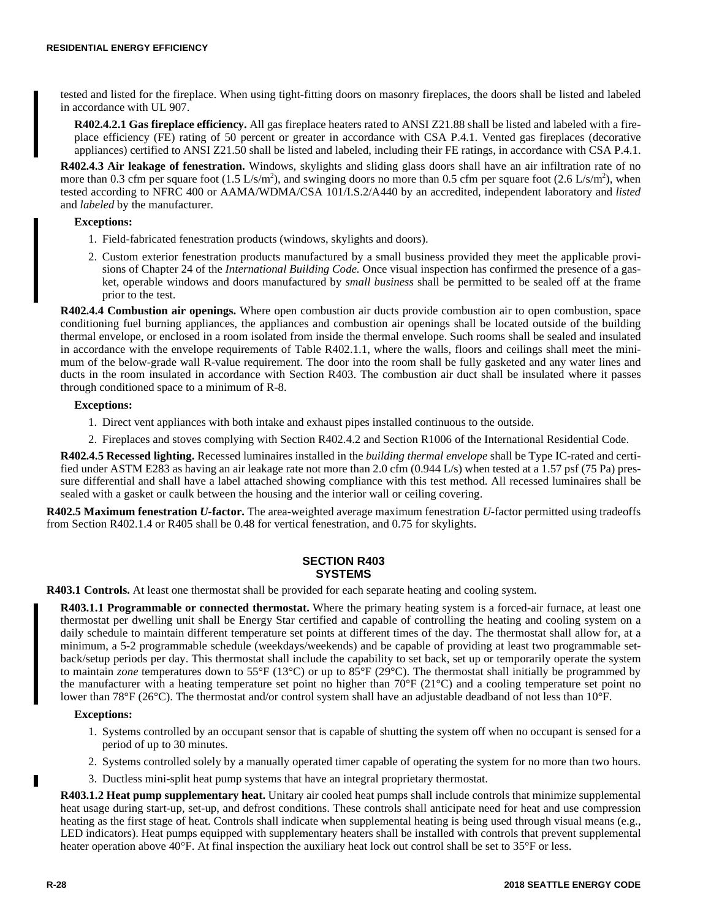tested and listed for the fireplace. When using tight-fitting doors on masonry fireplaces, the doors shall be listed and labeled in accordance with UL 907.

**R402.4.2.1 Gas fireplace efficiency.** All gas fireplace heaters rated to ANSI Z21.88 shall be listed and labeled with a fireplace efficiency (FE) rating of 50 percent or greater in accordance with CSA P.4.1. Vented gas fireplaces (decorative appliances) certified to ANSI Z21.50 shall be listed and labeled, including their FE ratings, in accordance with CSA P.4.1.

**R402.4.3 Air leakage of fenestration.** Windows, skylights and sliding glass doors shall have an air infiltration rate of no more than 0.3 cfm per square foot  $(1.5 \text{ L/s/m}^2)$ , and swinging doors no more than 0.5 cfm per square foot  $(2.6 \text{ L/s/m}^2)$ , when tested according to NFRC 400 or AAMA/WDMA/CSA 101/I.S.2/A440 by an accredited, independent laboratory and *listed* and *labeled* by the manufacturer.

## **Exceptions:**

- 1. Field-fabricated fenestration products (windows, skylights and doors).
- 2. Custom exterior fenestration products manufactured by a small business provided they meet the applicable provisions of Chapter 24 of the *International Building Code.* Once visual inspection has confirmed the presence of a gasket, operable windows and doors manufactured by *small business* shall be permitted to be sealed off at the frame prior to the test.

**R402.4.4 Combustion air openings.** Where open combustion air ducts provide combustion air to open combustion, space conditioning fuel burning appliances, the appliances and combustion air openings shall be located outside of the building thermal envelope, or enclosed in a room isolated from inside the thermal envelope. Such rooms shall be sealed and insulated in accordance with the envelope requirements of Table R402.1.1, where the walls, floors and ceilings shall meet the minimum of the below-grade wall R-value requirement. The door into the room shall be fully gasketed and any water lines and ducts in the room insulated in accordance with Section R403. The combustion air duct shall be insulated where it passes through conditioned space to a minimum of R-8.

## **Exceptions:**

- 1. Direct vent appliances with both intake and exhaust pipes installed continuous to the outside.
- 2. Fireplaces and stoves complying with Section R402.4.2 and Section R1006 of the International Residential Code.

**R402.4.5 Recessed lighting.** Recessed luminaires installed in the *building thermal envelope* shall be Type IC-rated and certified under ASTM E283 as having an air leakage rate not more than 2.0 cfm (0.944 L/s) when tested at a 1.57 psf (75 Pa) pressure differential and shall have a label attached showing compliance with this test method. All recessed luminaires shall be sealed with a gasket or caulk between the housing and the interior wall or ceiling covering.

**R402.5 Maximum fenestration** *U-***factor.** The area-weighted average maximum fenestration *U-*factor permitted using tradeoffs from Section R402.1.4 or R405 shall be 0.48 for vertical fenestration, and 0.75 for skylights.

## **SECTION R403 SYSTEMS**

**R403.1 Controls.** At least one thermostat shall be provided for each separate heating and cooling system.

**R403.1.1 Programmable or connected thermostat.** Where the primary heating system is a forced-air furnace, at least one thermostat per dwelling unit shall be Energy Star certified and capable of controlling the heating and cooling system on a daily schedule to maintain different temperature set points at different times of the day. The thermostat shall allow for, at a minimum, a 5-2 programmable schedule (weekdays/weekends) and be capable of providing at least two programmable setback/setup periods per day. This thermostat shall include the capability to set back, set up or temporarily operate the system to maintain *zone* temperatures down to 55°F (13°C) or up to 85°F (29°C). The thermostat shall initially be programmed by the manufacturer with a heating temperature set point no higher than  $70^{\circ}F(21^{\circ}C)$  and a cooling temperature set point no lower than 78°F (26°C). The thermostat and/or control system shall have an adjustable deadband of not less than 10°F.

#### **Exceptions:**

- 1. Systems controlled by an occupant sensor that is capable of shutting the system off when no occupant is sensed for a period of up to 30 minutes.
- 2. Systems controlled solely by a manually operated timer capable of operating the system for no more than two hours.
- 3. Ductless mini-split heat pump systems that have an integral proprietary thermostat.

**R403.1.2 Heat pump supplementary heat.** Unitary air cooled heat pumps shall include controls that minimize supplemental heat usage during start-up, set-up, and defrost conditions. These controls shall anticipate need for heat and use compression heating as the first stage of heat. Controls shall indicate when supplemental heating is being used through visual means (e.g., LED indicators). Heat pumps equipped with supplementary heaters shall be installed with controls that prevent supplemental heater operation above 40°F. At final inspection the auxiliary heat lock out control shall be set to 35°F or less.

г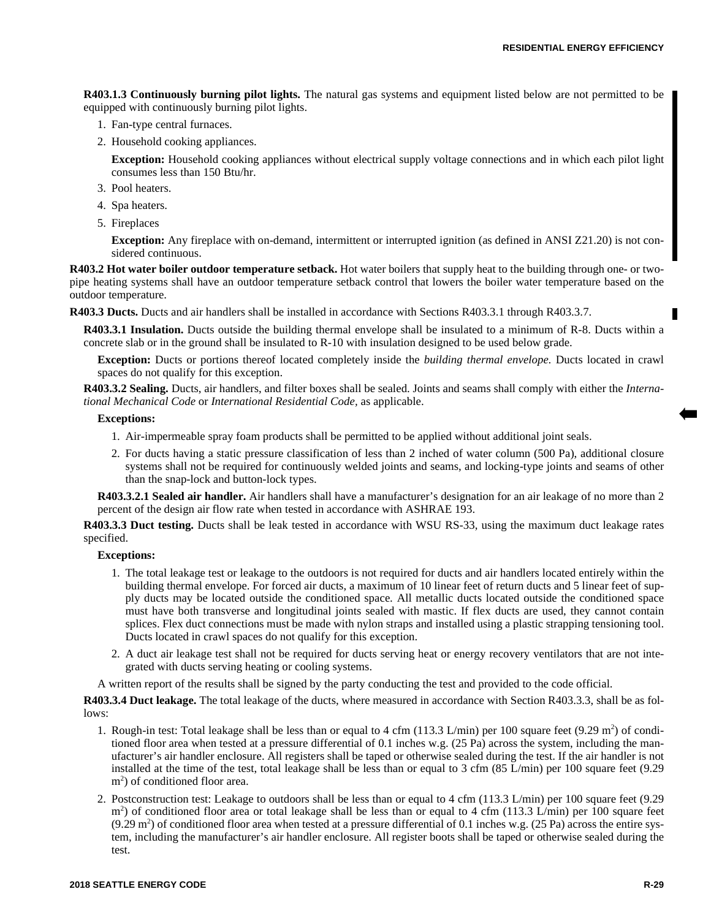**R403.1.3 Continuously burning pilot lights.** The natural gas systems and equipment listed below are not permitted to be equipped with continuously burning pilot lights.

- 1. Fan-type central furnaces.
- 2. Household cooking appliances.

**Exception:** Household cooking appliances without electrical supply voltage connections and in which each pilot light consumes less than 150 Btu/hr.

- 3. Pool heaters.
- 4. Spa heaters.
- 5. Fireplaces

**Exception:** Any fireplace with on-demand, intermittent or interrupted ignition (as defined in ANSI Z21.20) is not considered continuous.

**R403.2 Hot water boiler outdoor temperature setback.** Hot water boilers that supply heat to the building through one- or twopipe heating systems shall have an outdoor temperature setback control that lowers the boiler water temperature based on the outdoor temperature.

**R403.3 Ducts.** Ducts and air handlers shall be installed in accordance with Sections R403.3.1 through R403.3.7.

**R403.3.1 Insulation.** Ducts outside the building thermal envelope shall be insulated to a minimum of R-8. Ducts within a concrete slab or in the ground shall be insulated to R-10 with insulation designed to be used below grade.

**Exception:** Ducts or portions thereof located completely inside the *building thermal envelope.* Ducts located in crawl spaces do not qualify for this exception.

**R403.3.2 Sealing.** Ducts, air handlers, and filter boxes shall be sealed. Joints and seams shall comply with either the *International Mechanical Code* or *International Residential Code,* as applicable.

## **Exceptions:**

- 1. Air-impermeable spray foam products shall be permitted to be applied without additional joint seals.
- 2. For ducts having a static pressure classification of less than 2 inched of water column (500 Pa), additional closure systems shall not be required for continuously welded joints and seams, and locking-type joints and seams of other than the snap-lock and button-lock types.

**R403.3.2.1 Sealed air handler.** Air handlers shall have a manufacturer's designation for an air leakage of no more than 2 percent of the design air flow rate when tested in accordance with ASHRAE 193.

**R403.3.3 Duct testing.** Ducts shall be leak tested in accordance with WSU RS-33, using the maximum duct leakage rates specified.

## **Exceptions:**

- 1. The total leakage test or leakage to the outdoors is not required for ducts and air handlers located entirely within the building thermal envelope. For forced air ducts, a maximum of 10 linear feet of return ducts and 5 linear feet of supply ducts may be located outside the conditioned space. All metallic ducts located outside the conditioned space must have both transverse and longitudinal joints sealed with mastic. If flex ducts are used, they cannot contain splices. Flex duct connections must be made with nylon straps and installed using a plastic strapping tensioning tool. Ducts located in crawl spaces do not qualify for this exception.
- 2. A duct air leakage test shall not be required for ducts serving heat or energy recovery ventilators that are not integrated with ducts serving heating or cooling systems.

A written report of the results shall be signed by the party conducting the test and provided to the code official.

**R403.3.4 Duct leakage.** The total leakage of the ducts, where measured in accordance with Section R403.3.3, shall be as follows:

- 1. Rough-in test: Total leakage shall be less than or equal to 4 cfm (113.3 L/min) per 100 square feet (9.29 m<sup>2</sup>) of conditioned floor area when tested at a pressure differential of 0.1 inches w.g. (25 Pa) across the system, including the manufacturer's air handler enclosure. All registers shall be taped or otherwise sealed during the test. If the air handler is not installed at the time of the test, total leakage shall be less than or equal to 3 cfm (85 L/min) per 100 square feet (9.29 m<sup>2</sup>) of conditioned floor area.
- 2. Postconstruction test: Leakage to outdoors shall be less than or equal to 4 cfm (113.3 L/min) per 100 square feet (9.29 m<sup>2</sup>) of conditioned floor area or total leakage shall be less than or equal to 4 cfm (113.3 L/min) per 100 square feet  $(9.29 \text{ m}^2)$  of conditioned floor area when tested at a pressure differential of 0.1 inches w.g. (25 Pa) across the entire system, including the manufacturer's air handler enclosure. All register boots shall be taped or otherwise sealed during the test.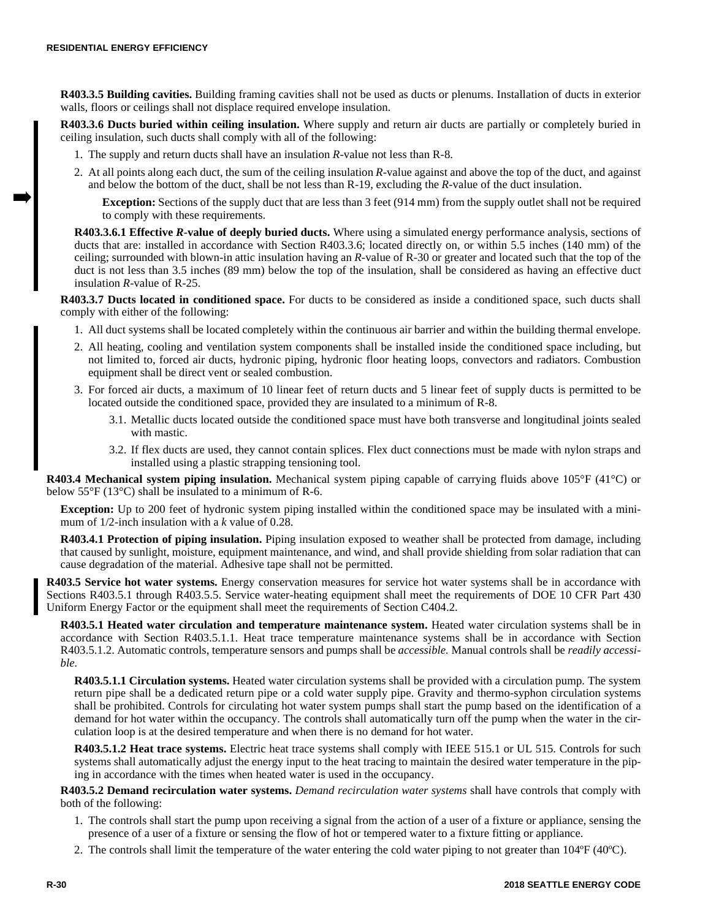**R403.3.5 Building cavities.** Building framing cavities shall not be used as ducts or plenums. Installation of ducts in exterior walls, floors or ceilings shall not displace required envelope insulation.

**R403.3.6 Ducts buried within ceiling insulation.** Where supply and return air ducts are partially or completely buried in ceiling insulation, such ducts shall comply with all of the following:

- 1. The supply and return ducts shall have an insulation *R*-value not less than R-8.
- 2. At all points along each duct, the sum of the ceiling insulation *R*-value against and above the top of the duct, and against and below the bottom of the duct, shall be not less than R-19, excluding the *R*-value of the duct insulation.

**Exception:** Sections of the supply duct that are less than 3 feet (914 mm) from the supply outlet shall not be required to comply with these requirements.

**R403.3.6.1 Effective** *R***-value of deeply buried ducts.** Where using a simulated energy performance analysis, sections of ducts that are: installed in accordance with Section R403.3.6; located directly on, or within 5.5 inches (140 mm) of the ceiling; surrounded with blown-in attic insulation having an *R*-value of R-30 or greater and located such that the top of the duct is not less than 3.5 inches (89 mm) below the top of the insulation, shall be considered as having an effective duct insulation *R*-value of R-25.

**R403.3.7 Ducts located in conditioned space.** For ducts to be considered as inside a conditioned space, such ducts shall comply with either of the following:

- 1. All duct systems shall be located completely within the continuous air barrier and within the building thermal envelope.
- 2. All heating, cooling and ventilation system components shall be installed inside the conditioned space including, but not limited to, forced air ducts, hydronic piping, hydronic floor heating loops, convectors and radiators. Combustion equipment shall be direct vent or sealed combustion.
- 3. For forced air ducts, a maximum of 10 linear feet of return ducts and 5 linear feet of supply ducts is permitted to be located outside the conditioned space, provided they are insulated to a minimum of R-8.
	- 3.1. Metallic ducts located outside the conditioned space must have both transverse and longitudinal joints sealed with mastic.
	- 3.2. If flex ducts are used, they cannot contain splices. Flex duct connections must be made with nylon straps and installed using a plastic strapping tensioning tool.

**R403.4 Mechanical system piping insulation.** Mechanical system piping capable of carrying fluids above 105°F (41°C) or below 55°F (13°C) shall be insulated to a minimum of R-6.

**Exception:** Up to 200 feet of hydronic system piping installed within the conditioned space may be insulated with a minimum of 1/2-inch insulation with a *k* value of 0.28.

**R403.4.1 Protection of piping insulation.** Piping insulation exposed to weather shall be protected from damage, including that caused by sunlight, moisture, equipment maintenance, and wind, and shall provide shielding from solar radiation that can cause degradation of the material. Adhesive tape shall not be permitted.

**R403.5 Service hot water systems.** Energy conservation measures for service hot water systems shall be in accordance with Sections R403.5.1 through R403.5.5. Service water-heating equipment shall meet the requirements of DOE 10 CFR Part 430 Uniform Energy Factor or the equipment shall meet the requirements of Section C404.2.

**R403.5.1 Heated water circulation and temperature maintenance system.** Heated water circulation systems shall be in accordance with Section R403.5.1.1. Heat trace temperature maintenance systems shall be in accordance with Section R403.5.1.2. Automatic controls, temperature sensors and pumps shall be *accessible.* Manual controls shall be *readily accessible.*

**R403.5.1.1 Circulation systems.** Heated water circulation systems shall be provided with a circulation pump. The system return pipe shall be a dedicated return pipe or a cold water supply pipe. Gravity and thermo-syphon circulation systems shall be prohibited. Controls for circulating hot water system pumps shall start the pump based on the identification of a demand for hot water within the occupancy. The controls shall automatically turn off the pump when the water in the circulation loop is at the desired temperature and when there is no demand for hot water.

**R403.5.1.2 Heat trace systems.** Electric heat trace systems shall comply with IEEE 515.1 or UL 515. Controls for such systems shall automatically adjust the energy input to the heat tracing to maintain the desired water temperature in the piping in accordance with the times when heated water is used in the occupancy.

**R403.5.2 Demand recirculation water systems.** *Demand recirculation water systems* shall have controls that comply with both of the following:

- 1. The controls shall start the pump upon receiving a signal from the action of a user of a fixture or appliance, sensing the presence of a user of a fixture or sensing the flow of hot or tempered water to a fixture fitting or appliance.
- 2. The controls shall limit the temperature of the water entering the cold water piping to not greater than 104ºF (40ºC).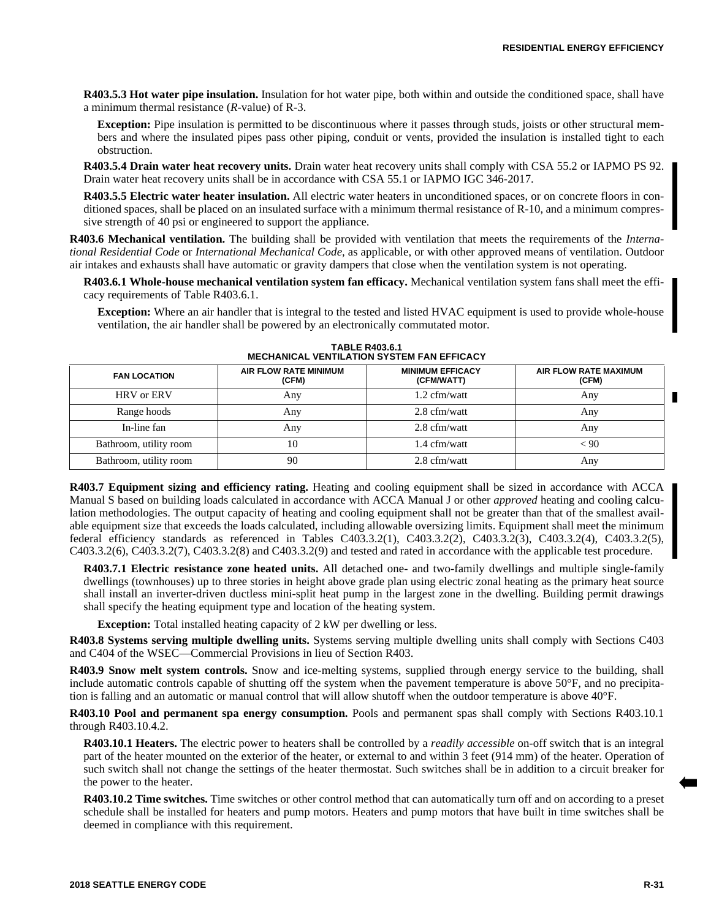**R403.5.3 Hot water pipe insulation.** Insulation for hot water pipe, both within and outside the conditioned space, shall have a minimum thermal resistance (*R-*value) of R-3.

**Exception:** Pipe insulation is permitted to be discontinuous where it passes through studs, joists or other structural members and where the insulated pipes pass other piping, conduit or vents, provided the insulation is installed tight to each obstruction.

**R403.5.4 Drain water heat recovery units.** Drain water heat recovery units shall comply with CSA 55.2 or IAPMO PS 92. Drain water heat recovery units shall be in accordance with CSA 55.1 or IAPMO IGC 346-2017.

**R403.5.5 Electric water heater insulation.** All electric water heaters in unconditioned spaces, or on concrete floors in conditioned spaces, shall be placed on an insulated surface with a minimum thermal resistance of R-10, and a minimum compressive strength of 40 psi or engineered to support the appliance.

**R403.6 Mechanical ventilation.** The building shall be provided with ventilation that meets the requirements of the *International Residential Code* or *International Mechanical Code,* as applicable, or with other approved means of ventilation. Outdoor air intakes and exhausts shall have automatic or gravity dampers that close when the ventilation system is not operating.

**R403.6.1 Whole-house mechanical ventilation system fan efficacy.** Mechanical ventilation system fans shall meet the efficacy requirements of Table R403.6.1.

**Exception:** Where an air handler that is integral to the tested and listed HVAC equipment is used to provide whole-house ventilation, the air handler shall be powered by an electronically commutated motor.

| <b>FAN LOCATION</b>      | AIR FLOW RATE MINIMUM<br>(CFM) | <b>MINIMUM EFFICACY</b><br>(CFM/WATT) | AIR FLOW RATE MAXIMUM<br>(CFM) |
|--------------------------|--------------------------------|---------------------------------------|--------------------------------|
| <b>HRV</b> or <b>ERV</b> | Any                            | $1.2 \text{ cfm/watt}$                | Any                            |
| Range hoods              | Any                            | 2.8 cfm/watt                          | Any                            |
| In-line fan              | Any                            | 2.8 cfm/watt                          | Any                            |
| Bathroom, utility room   | 10                             | 1.4 cfm/watt                          | < 90                           |
| Bathroom, utility room   | 90                             | 2.8 cfm/watt                          | Any                            |

**TABLE R403.6.1 MECHANICAL VENTILATION SYSTEM FAN EFFICACY** 

**R403.7 Equipment sizing and efficiency rating.** Heating and cooling equipment shall be sized in accordance with ACCA Manual S based on building loads calculated in accordance with ACCA Manual J or other *approved* heating and cooling calculation methodologies. The output capacity of heating and cooling equipment shall not be greater than that of the smallest available equipment size that exceeds the loads calculated, including allowable oversizing limits. Equipment shall meet the minimum federal efficiency standards as referenced in Tables C403.3.2(1), C403.3.2(2), C403.3.2(3), C403.3.2(4), C403.3.2(5), C403.3.2(6), C403.3.2(7), C403.3.2(8) and C403.3.2(9) and tested and rated in accordance with the applicable test procedure.

**R403.7.1 Electric resistance zone heated units.** All detached one- and two-family dwellings and multiple single-family dwellings (townhouses) up to three stories in height above grade plan using electric zonal heating as the primary heat source shall install an inverter-driven ductless mini-split heat pump in the largest zone in the dwelling. Building permit drawings shall specify the heating equipment type and location of the heating system.

**Exception:** Total installed heating capacity of 2 kW per dwelling or less.

**R403.8 Systems serving multiple dwelling units.** Systems serving multiple dwelling units shall comply with Sections C403 and C404 of the WSEC—Commercial Provisions in lieu of Section R403.

**R403.9 Snow melt system controls.** Snow and ice-melting systems, supplied through energy service to the building, shall include automatic controls capable of shutting off the system when the pavement temperature is above 50°F, and no precipitation is falling and an automatic or manual control that will allow shutoff when the outdoor temperature is above 40°F.

**R403.10 Pool and permanent spa energy consumption.** Pools and permanent spas shall comply with Sections R403.10.1 through R403.10.4.2.

**R403.10.1 Heaters.** The electric power to heaters shall be controlled by a *readily accessible* on-off switch that is an integral part of the heater mounted on the exterior of the heater, or external to and within 3 feet (914 mm) of the heater. Operation of such switch shall not change the settings of the heater thermostat. Such switches shall be in addition to a circuit breaker for the power to the heater.

**R403.10.2 Time switches.** Time switches or other control method that can automatically turn off and on according to a preset schedule shall be installed for heaters and pump motors. Heaters and pump motors that have built in time switches shall be deemed in compliance with this requirement.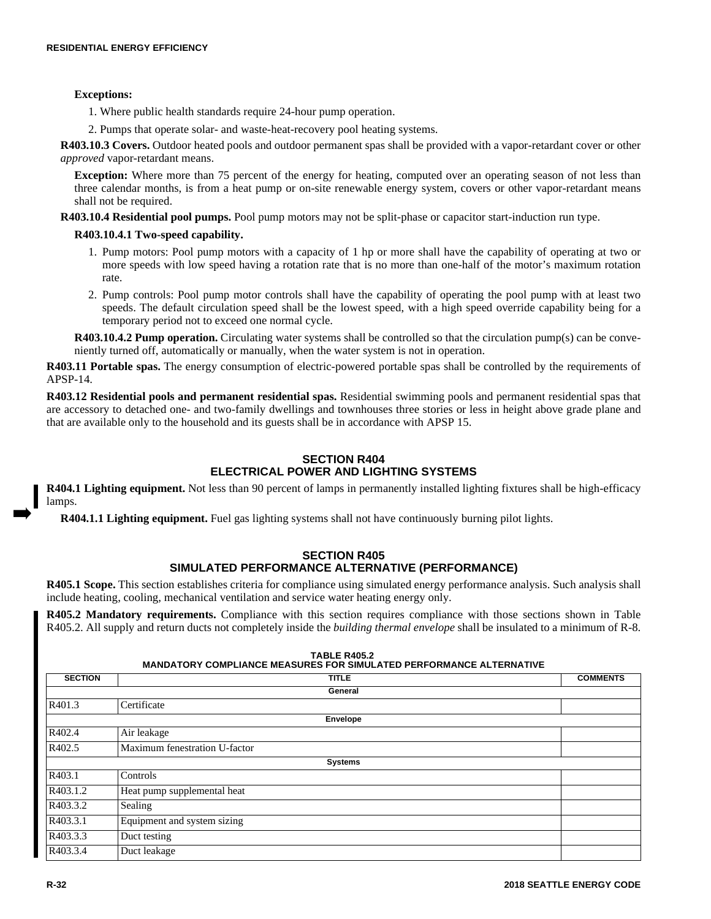# **Exceptions:**

1. Where public health standards require 24-hour pump operation.

2. Pumps that operate solar- and waste-heat-recovery pool heating systems.

**R403.10.3 Covers.** Outdoor heated pools and outdoor permanent spas shall be provided with a vapor-retardant cover or other *approved* vapor-retardant means.

**Exception:** Where more than 75 percent of the energy for heating, computed over an operating season of not less than three calendar months, is from a heat pump or on-site renewable energy system, covers or other vapor-retardant means shall not be required.

**R403.10.4 Residential pool pumps.** Pool pump motors may not be split-phase or capacitor start-induction run type.

# **R403.10.4.1 Two-speed capability.**

- 1. Pump motors: Pool pump motors with a capacity of 1 hp or more shall have the capability of operating at two or more speeds with low speed having a rotation rate that is no more than one-half of the motor's maximum rotation rate.
- 2. Pump controls: Pool pump motor controls shall have the capability of operating the pool pump with at least two speeds. The default circulation speed shall be the lowest speed, with a high speed override capability being for a temporary period not to exceed one normal cycle.

**R403.10.4.2 Pump operation.** Circulating water systems shall be controlled so that the circulation pump(s) can be conveniently turned off, automatically or manually, when the water system is not in operation.

**R403.11 Portable spas.** The energy consumption of electric-powered portable spas shall be controlled by the requirements of APSP-14.

**R403.12 Residential pools and permanent residential spas.** Residential swimming pools and permanent residential spas that are accessory to detached one- and two-family dwellings and townhouses three stories or less in height above grade plane and that are available only to the household and its guests shall be in accordance with APSP 15.

# **SECTION R404 ELECTRICAL POWER AND LIGHTING SYSTEMS**

**R404.1 Lighting equipment.** Not less than 90 percent of lamps in permanently installed lighting fixtures shall be high-efficacy lamps.

**R404.1.1 Lighting equipment.** Fuel gas lighting systems shall not have continuously burning pilot lights.

# **SECTION R405 SIMULATED PERFORMANCE ALTERNATIVE (PERFORMANCE)**

**R405.1 Scope.** This section establishes criteria for compliance using simulated energy performance analysis. Such analysis shall include heating, cooling, mechanical ventilation and service water heating energy only.

**R405.2 Mandatory requirements.** Compliance with this section requires compliance with those sections shown in Table R405.2. All supply and return ducts not completely inside the *building thermal envelope* shall be insulated to a minimum of R-8.

| <b>SECTION</b> | <b>TITLE</b>                  | <b>COMMENTS</b> |
|----------------|-------------------------------|-----------------|
|                | General                       |                 |
| R401.3         | Certificate                   |                 |
|                | Envelope                      |                 |
| R402.4         | Air leakage                   |                 |
| R402.5         | Maximum fenestration U-factor |                 |
|                | <b>Systems</b>                |                 |
| R403.1         | Controls                      |                 |
| R403.1.2       | Heat pump supplemental heat   |                 |
| R403.3.2       | Sealing                       |                 |
| R403.3.1       | Equipment and system sizing   |                 |
| R403.3.3       | Duct testing                  |                 |
| R403.3.4       | Duct leakage                  |                 |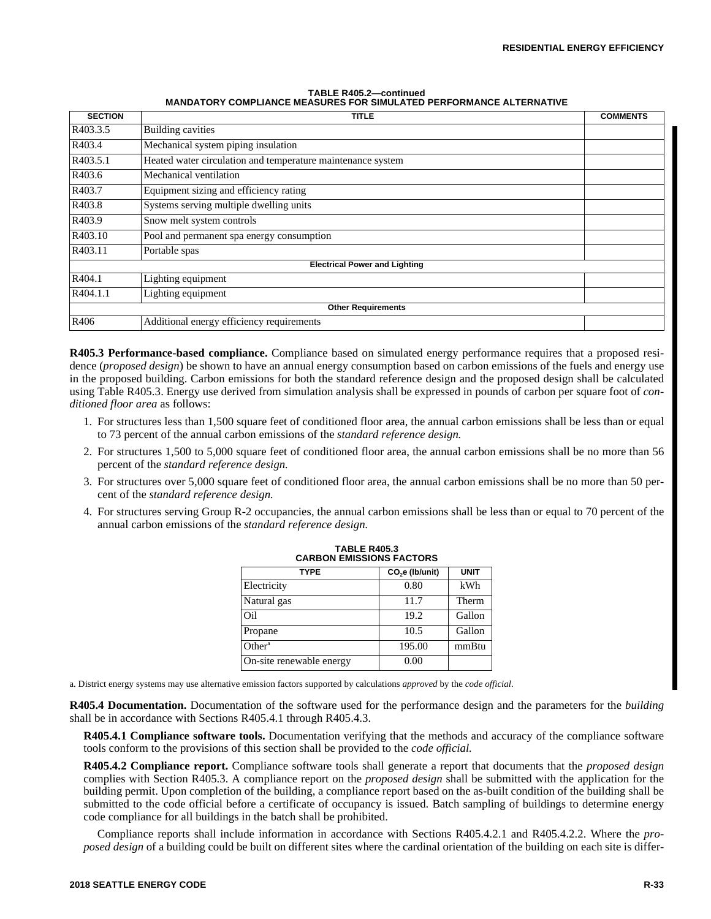| TABLE R405.2-continued                                                     |  |  |  |
|----------------------------------------------------------------------------|--|--|--|
| <b>MANDATORY COMPLIANCE MEASURES FOR SIMULATED PERFORMANCE ALTERNATIVE</b> |  |  |  |

| <b>SECTION</b>                       | <b>TITLE</b>                                                | <b>COMMENTS</b> |
|--------------------------------------|-------------------------------------------------------------|-----------------|
| R403.3.5                             | <b>Building cavities</b>                                    |                 |
| R403.4                               | Mechanical system piping insulation                         |                 |
| R403.5.1                             | Heated water circulation and temperature maintenance system |                 |
| R403.6                               | Mechanical ventilation                                      |                 |
| R403.7                               | Equipment sizing and efficiency rating                      |                 |
| R403.8                               | Systems serving multiple dwelling units                     |                 |
| R403.9                               | Snow melt system controls                                   |                 |
| R403.10                              | Pool and permanent spa energy consumption                   |                 |
| R403.11                              | Portable spas                                               |                 |
| <b>Electrical Power and Lighting</b> |                                                             |                 |
| R404.1                               | Lighting equipment                                          |                 |
| R404.1.1                             | Lighting equipment                                          |                 |
| <b>Other Requirements</b>            |                                                             |                 |
| R406                                 | Additional energy efficiency requirements                   |                 |

**R405.3 Performance-based compliance.** Compliance based on simulated energy performance requires that a proposed residence (*proposed design*) be shown to have an annual energy consumption based on carbon emissions of the fuels and energy use in the proposed building. Carbon emissions for both the standard reference design and the proposed design shall be calculated using Table R405.3. Energy use derived from simulation analysis shall be expressed in pounds of carbon per square foot of *conditioned floor area* as follows:

- 1. For structures less than 1,500 square feet of conditioned floor area, the annual carbon emissions shall be less than or equal to 73 percent of the annual carbon emissions of the *standard reference design.*
- 2. For structures 1,500 to 5,000 square feet of conditioned floor area, the annual carbon emissions shall be no more than 56 percent of the *standard reference design.*
- 3. For structures over 5,000 square feet of conditioned floor area, the annual carbon emissions shall be no more than 50 percent of the *standard reference design.*
- 4. For structures serving Group R-2 occupancies, the annual carbon emissions shall be less than or equal to 70 percent of the annual carbon emissions of the *standard reference design.*

| <b>TYPE</b>              | CO <sub>2</sub> e (Ib/unit) | <b>UNIT</b> |  |
|--------------------------|-----------------------------|-------------|--|
| Electricity              | 0.80                        | kWh         |  |
| Natural gas              | 11.7                        | Therm       |  |
| Oil                      | 19.2                        | Gallon      |  |
| Propane                  | 10.5                        | Gallon      |  |
| Other <sup>a</sup>       | 195.00                      | mmBtu       |  |
| On-site renewable energy | 0.00                        |             |  |

| <b>TABLE R405.3</b>             |
|---------------------------------|
| <b>CARBON EMISSIONS FACTORS</b> |

a. District energy systems may use alternative emission factors supported by calculations *approved* by the *code official.*

**R405.4 Documentation.** Documentation of the software used for the performance design and the parameters for the *building* shall be in accordance with Sections R405.4.1 through R405.4.3.

**R405.4.1 Compliance software tools.** Documentation verifying that the methods and accuracy of the compliance software tools conform to the provisions of this section shall be provided to the *code official.*

**R405.4.2 Compliance report.** Compliance software tools shall generate a report that documents that the *proposed design* complies with Section R405.3. A compliance report on the *proposed design* shall be submitted with the application for the building permit. Upon completion of the building, a compliance report based on the as-built condition of the building shall be submitted to the code official before a certificate of occupancy is issued. Batch sampling of buildings to determine energy code compliance for all buildings in the batch shall be prohibited.

Compliance reports shall include information in accordance with Sections R405.4.2.1 and R405.4.2.2. Where the *proposed design* of a building could be built on different sites where the cardinal orientation of the building on each site is differ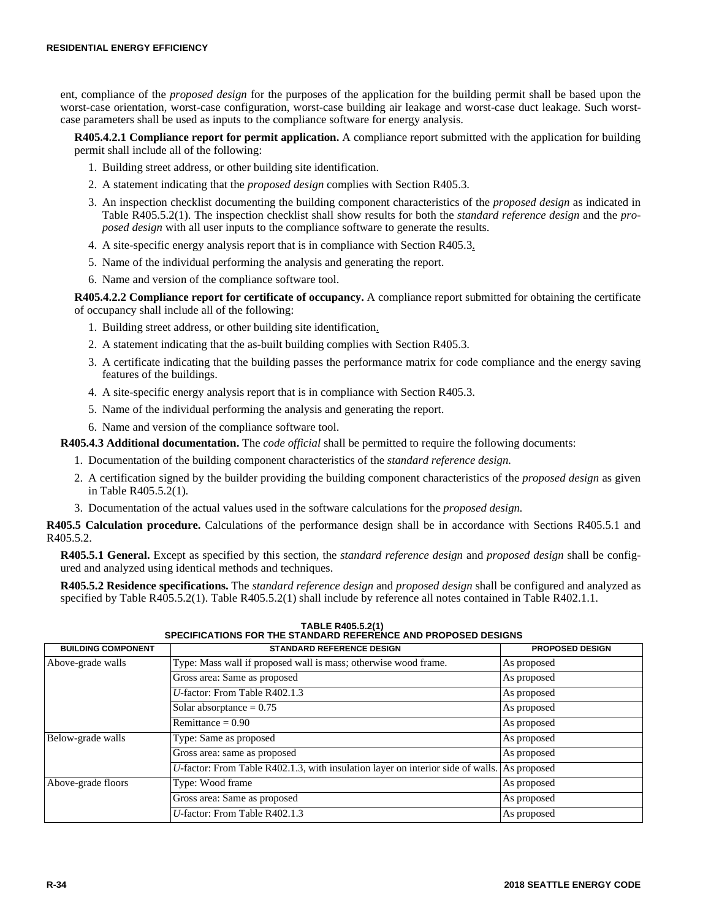ent, compliance of the *proposed design* for the purposes of the application for the building permit shall be based upon the worst-case orientation, worst-case configuration, worst-case building air leakage and worst-case duct leakage. Such worstcase parameters shall be used as inputs to the compliance software for energy analysis.

**R405.4.2.1 Compliance report for permit application.** A compliance report submitted with the application for building permit shall include all of the following:

- 1. Building street address, or other building site identification.
- 2. A statement indicating that the *proposed design* complies with Section R405.3.
- 3. An inspection checklist documenting the building component characteristics of the *proposed design* as indicated in Table R405.5.2(1). The inspection checklist shall show results for both the *standard reference design* and the *proposed design* with all user inputs to the compliance software to generate the results.
- 4. A site-specific energy analysis report that is in compliance with Section R405.3.
- 5. Name of the individual performing the analysis and generating the report.
- 6. Name and version of the compliance software tool.

**R405.4.2.2 Compliance report for certificate of occupancy.** A compliance report submitted for obtaining the certificate of occupancy shall include all of the following:

- 1. Building street address, or other building site identification.
- 2. A statement indicating that the as-built building complies with Section R405.3.
- 3. A certificate indicating that the building passes the performance matrix for code compliance and the energy saving features of the buildings.
- 4. A site-specific energy analysis report that is in compliance with Section R405.3.
- 5. Name of the individual performing the analysis and generating the report.
- 6. Name and version of the compliance software tool.

**R405.4.3 Additional documentation.** The *code official* shall be permitted to require the following documents:

- 1. Documentation of the building component characteristics of the *standard reference design.*
- 2. A certification signed by the builder providing the building component characteristics of the *proposed design* as given in Table R405.5.2(1).
- 3. Documentation of the actual values used in the software calculations for the *proposed design.*

**R405.5 Calculation procedure.** Calculations of the performance design shall be in accordance with Sections R405.5.1 and R405.5.2.

**R405.5.1 General.** Except as specified by this section, the *standard reference design* and *proposed design* shall be configured and analyzed using identical methods and techniques.

**R405.5.2 Residence specifications.** The *standard reference design* and *proposed design* shall be configured and analyzed as specified by Table R405.5.2(1). Table R405.5.2(1) shall include by reference all notes contained in Table R402.1.1.

| <b>BUILDING COMPONENT</b> | טו בטוו וסאכט וסאר דעוואן בטוויינים ובו שווארו טווייני וויט דער וויט וייני וויס דיט<br><b>STANDARD REFERENCE DESIGN</b> | <b>PROPOSED DESIGN</b> |
|---------------------------|-------------------------------------------------------------------------------------------------------------------------|------------------------|
| Above-grade walls         | Type: Mass wall if proposed wall is mass; otherwise wood frame.                                                         | As proposed            |
|                           | Gross area: Same as proposed                                                                                            | As proposed            |
|                           | U-factor: From Table $R402.1.3$                                                                                         | As proposed            |
|                           | Solar absorptance $= 0.75$                                                                                              | As proposed            |
|                           | Remittance = $0.90$                                                                                                     | As proposed            |
| Below-grade walls         | Type: Same as proposed                                                                                                  | As proposed            |
|                           | Gross area: same as proposed                                                                                            | As proposed            |
|                           | $U$ -factor: From Table R402.1.3, with insulation layer on interior side of walls. As proposed                          |                        |
| Above-grade floors        | Type: Wood frame                                                                                                        | As proposed            |
|                           | Gross area: Same as proposed                                                                                            | As proposed            |
|                           | $U$ -factor: From Table R402.1.3                                                                                        | As proposed            |

**TABLE R405.5.2(1) SPECIFICATIONS FOR THE STANDARD REFERENCE AND PROPOSED DESIGNS**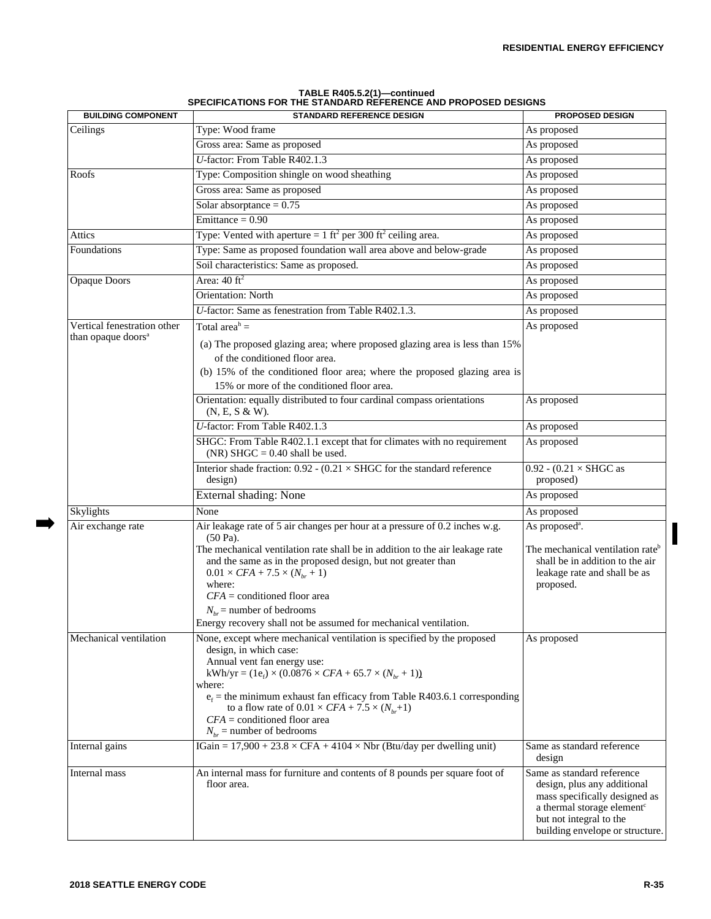| <b>BUILDING COMPONENT</b>      | <b>STANDARD REFERENCE DESIGN</b>                                                                                                                                                                                                                                                                                                                           | <b>PROPOSED DESIGN</b>                                                                                                                                                                             |
|--------------------------------|------------------------------------------------------------------------------------------------------------------------------------------------------------------------------------------------------------------------------------------------------------------------------------------------------------------------------------------------------------|----------------------------------------------------------------------------------------------------------------------------------------------------------------------------------------------------|
| Ceilings                       | Type: Wood frame                                                                                                                                                                                                                                                                                                                                           | As proposed                                                                                                                                                                                        |
|                                | Gross area: Same as proposed                                                                                                                                                                                                                                                                                                                               | As proposed                                                                                                                                                                                        |
|                                | U-factor: From Table R402.1.3                                                                                                                                                                                                                                                                                                                              | As proposed                                                                                                                                                                                        |
| Roofs                          | Type: Composition shingle on wood sheathing                                                                                                                                                                                                                                                                                                                | As proposed                                                                                                                                                                                        |
|                                | Gross area: Same as proposed                                                                                                                                                                                                                                                                                                                               | As proposed                                                                                                                                                                                        |
|                                | Solar absorptance = $0.75$                                                                                                                                                                                                                                                                                                                                 | As proposed                                                                                                                                                                                        |
|                                | Emittance = $0.90$                                                                                                                                                                                                                                                                                                                                         | As proposed                                                                                                                                                                                        |
| Attics                         | Type: Vented with aperture = $1 \text{ ft}^2$ per 300 ft <sup>2</sup> ceiling area.                                                                                                                                                                                                                                                                        | As proposed                                                                                                                                                                                        |
| Foundations                    | Type: Same as proposed foundation wall area above and below-grade                                                                                                                                                                                                                                                                                          | As proposed                                                                                                                                                                                        |
|                                | Soil characteristics: Same as proposed.                                                                                                                                                                                                                                                                                                                    | As proposed                                                                                                                                                                                        |
| <b>Opaque Doors</b>            | Area: $40 \text{ ft}^2$                                                                                                                                                                                                                                                                                                                                    | As proposed                                                                                                                                                                                        |
|                                | <b>Orientation: North</b>                                                                                                                                                                                                                                                                                                                                  | As proposed                                                                                                                                                                                        |
|                                | U-factor: Same as fenestration from Table R402.1.3.                                                                                                                                                                                                                                                                                                        | As proposed                                                                                                                                                                                        |
| Vertical fenestration other    | Total area <sup>h</sup> =                                                                                                                                                                                                                                                                                                                                  | As proposed                                                                                                                                                                                        |
| than opaque doors <sup>a</sup> | (a) The proposed glazing area; where proposed glazing area is less than 15%<br>of the conditioned floor area.                                                                                                                                                                                                                                              |                                                                                                                                                                                                    |
|                                | (b) 15% of the conditioned floor area; where the proposed glazing area is<br>15% or more of the conditioned floor area.                                                                                                                                                                                                                                    |                                                                                                                                                                                                    |
|                                | Orientation: equally distributed to four cardinal compass orientations<br>(N, E, S & W).                                                                                                                                                                                                                                                                   | As proposed                                                                                                                                                                                        |
|                                | U-factor: From Table R402.1.3                                                                                                                                                                                                                                                                                                                              | As proposed                                                                                                                                                                                        |
|                                | SHGC: From Table R402.1.1 except that for climates with no requirement<br>(NR) SHGC = $0.40$ shall be used.                                                                                                                                                                                                                                                | As proposed                                                                                                                                                                                        |
|                                | Interior shade fraction: $0.92 - (0.21 \times SHGC)$ for the standard reference<br>design)                                                                                                                                                                                                                                                                 | 0.92 - $(0.21 \times SHGC)$ as<br>proposed)                                                                                                                                                        |
|                                | External shading: None                                                                                                                                                                                                                                                                                                                                     | As proposed                                                                                                                                                                                        |
| Skylights                      | None                                                                                                                                                                                                                                                                                                                                                       | As proposed                                                                                                                                                                                        |
| Air exchange rate              | Air leakage rate of 5 air changes per hour at a pressure of 0.2 inches w.g.<br>$(50 Pa)$ .                                                                                                                                                                                                                                                                 | As proposed <sup>a</sup> .                                                                                                                                                                         |
|                                | The mechanical ventilation rate shall be in addition to the air leakage rate<br>and the same as in the proposed design, but not greater than<br>$0.01 \times CFA + 7.5 \times (N_{br} + 1)$<br>where:<br>$CFA$ = conditioned floor area<br>$N_{br}$ = number of bedrooms<br>Energy recovery shall not be assumed for mechanical ventilation.               | The mechanical ventilation rate <sup>b</sup><br>shall be in addition to the air<br>leakage rate and shall be as<br>proposed.                                                                       |
| Mechanical ventilation         | None, except where mechanical ventilation is specified by the proposed                                                                                                                                                                                                                                                                                     | As proposed                                                                                                                                                                                        |
|                                | design, in which case:<br>Annual vent fan energy use:<br>kWh/yr = $(1e_f) \times (0.0876 \times CFA + 65.7 \times (N_{br} + 1))$<br>where:<br>$e_f$ = the minimum exhaust fan efficacy from Table R403.6.1 corresponding<br>to a flow rate of $0.01 \times CFA + 7.5 \times (N_{hr}+1)$<br>$CFA$ = conditioned floor area<br>$N_{br}$ = number of bedrooms |                                                                                                                                                                                                    |
| Internal gains                 | IGain = $17,900 + 23.8 \times \text{CFA} + 4104 \times \text{Nbr}$ (Btu/day per dwelling unit)                                                                                                                                                                                                                                                             | Same as standard reference<br>design                                                                                                                                                               |
| Internal mass                  | An internal mass for furniture and contents of 8 pounds per square foot of<br>floor area.                                                                                                                                                                                                                                                                  | Same as standard reference<br>design, plus any additional<br>mass specifically designed as<br>a thermal storage element <sup>c</sup><br>but not integral to the<br>building envelope or structure. |

| TABLE R405.5.2(1)-continued                                    |
|----------------------------------------------------------------|
| SPECIFICATIONS FOR THE STANDARD REFERENCE AND PROPOSED DESIGNS |

 $\Rightarrow$ 

I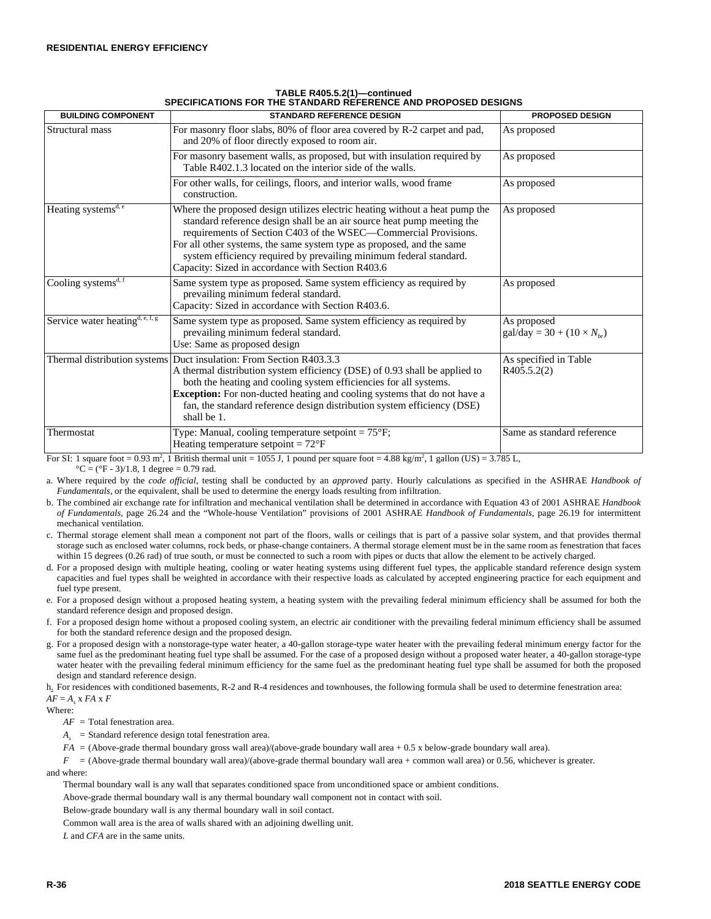| <b>BUILDING COMPONENT</b>            | <b>STANDARD REFERENCE DESIGN</b>                                                                                                                                                                                                                                                                                                                                                                                             | <b>PROPOSED DESIGN</b>                                           |
|--------------------------------------|------------------------------------------------------------------------------------------------------------------------------------------------------------------------------------------------------------------------------------------------------------------------------------------------------------------------------------------------------------------------------------------------------------------------------|------------------------------------------------------------------|
| Structural mass                      | For masonry floor slabs, 80% of floor area covered by R-2 carpet and pad,<br>and 20% of floor directly exposed to room air.                                                                                                                                                                                                                                                                                                  | As proposed                                                      |
|                                      | For masonry basement walls, as proposed, but with insulation required by<br>Table R402.1.3 located on the interior side of the walls.                                                                                                                                                                                                                                                                                        | As proposed                                                      |
|                                      | For other walls, for ceilings, floors, and interior walls, wood frame<br>construction.                                                                                                                                                                                                                                                                                                                                       | As proposed                                                      |
| Heating systems <sup>d, e</sup>      | Where the proposed design utilizes electric heating without a heat pump the<br>standard reference design shall be an air source heat pump meeting the<br>requirements of Section C403 of the WSEC—Commercial Provisions.<br>For all other systems, the same system type as proposed, and the same<br>system efficiency required by prevailing minimum federal standard.<br>Capacity: Sized in accordance with Section R403.6 | As proposed                                                      |
| Cooling systems $\overline{s^{d,f}}$ | Same system type as proposed. Same system efficiency as required by<br>prevailing minimum federal standard.<br>Capacity: Sized in accordance with Section R403.6.                                                                                                                                                                                                                                                            | As proposed                                                      |
| Service water heating $d, e, f, g$   | Same system type as proposed. Same system efficiency as required by<br>prevailing minimum federal standard.<br>Use: Same as proposed design                                                                                                                                                                                                                                                                                  | As proposed<br>$\text{gal/day} = 30 + (10 \times N_{\text{br}})$ |
|                                      | Thermal distribution systems Duct insulation: From Section R403.3.3<br>A thermal distribution system efficiency (DSE) of 0.93 shall be applied to<br>both the heating and cooling system efficiencies for all systems.<br><b>Exception:</b> For non-ducted heating and cooling systems that do not have a<br>fan, the standard reference design distribution system efficiency (DSE)<br>shall be 1.                          | As specified in Table<br>R405.5.2(2)                             |
| Thermostat                           | Type: Manual, cooling temperature setpoint = $75^{\circ}F$ ;<br>Heating temperature setpoint = $72^{\circ}F$                                                                                                                                                                                                                                                                                                                 | Same as standard reference                                       |

## **TABLE R405.5.2(1)—continued SPECIFICATIONS FOR THE STANDARD REFERENCE AND PROPOSED DESIGNS**

For SI: 1 square foot =  $0.93 \text{ m}^2$ , 1 British thermal unit =  $1055 \text{ J}$ , 1 pound per square foot =  $4.88 \text{ kg/m}^2$ , 1 gallon (US) =  $3.785 \text{ L}$ ,  $^{\circ}C = (^{\circ}F - 3)/1.8$ , 1 degree = 0.79 rad.

a. Where required by the *code official,* testing shall be conducted by an *approved* party. Hourly calculations as specified in the ASHRAE *Handbook of Fundamentals,* or the equivalent, shall be used to determine the energy loads resulting from infiltration.

b. The combined air exchange rate for infiltration and mechanical ventilation shall be determined in accordance with Equation 43 of 2001 ASHRAE *Handbook of Fundamentals,* page 26.24 and the "Whole-house Ventilation" provisions of 2001 ASHRAE *Handbook of Fundamentals,* page 26.19 for intermittent mechanical ventilation.

c. Thermal storage element shall mean a component not part of the floors, walls or ceilings that is part of a passive solar system, and that provides thermal storage such as enclosed water columns, rock beds, or phase-change containers. A thermal storage element must be in the same room as fenestration that faces within 15 degrees (0.26 rad) of true south, or must be connected to such a room with pipes or ducts that allow the element to be actively charged.

d. For a proposed design with multiple heating, cooling or water heating systems using different fuel types, the applicable standard reference design system capacities and fuel types shall be weighted in accordance with their respective loads as calculated by accepted engineering practice for each equipment and fuel type present.

e. For a proposed design without a proposed heating system, a heating system with the prevailing federal minimum efficiency shall be assumed for both the standard reference design and proposed design.

f. For a proposed design home without a proposed cooling system, an electric air conditioner with the prevailing federal minimum efficiency shall be assumed for both the standard reference design and the proposed design.

g. For a proposed design with a nonstorage-type water heater, a 40-gallon storage-type water heater with the prevailing federal minimum energy factor for the same fuel as the predominant heating fuel type shall be assumed. For the case of a proposed design without a proposed water heater, a 40-gallon storage-type water heater with the prevailing federal minimum efficiency for the same fuel as the predominant heating fuel type shall be assumed for both the proposed design and standard reference design.

h. For residences with conditioned basements, R-2 and R-4 residences and townhouses, the following formula shall be used to determine fenestration area:  $AF = A_s \times FA \times F$ 

Where:

*AF* = Total fenestration area.

 $A_s$  = Standard reference design total fenestration area.

*FA* = (Above-grade thermal boundary gross wall area)/(above-grade boundary wall area + 0.5 x below-grade boundary wall area).

 $F = (Above-grade thermal boundary wall area)/(above-grade thermal boundary would are at  $+$  common wall area)  $\sigma$  0.56, whichever is greater.$ 

and where:

Thermal boundary wall is any wall that separates conditioned space from unconditioned space or ambient conditions.

Above-grade thermal boundary wall is any thermal boundary wall component not in contact with soil.

Below-grade boundary wall is any thermal boundary wall in soil contact.

Common wall area is the area of walls shared with an adjoining dwelling unit.

*L* and *CFA* are in the same units.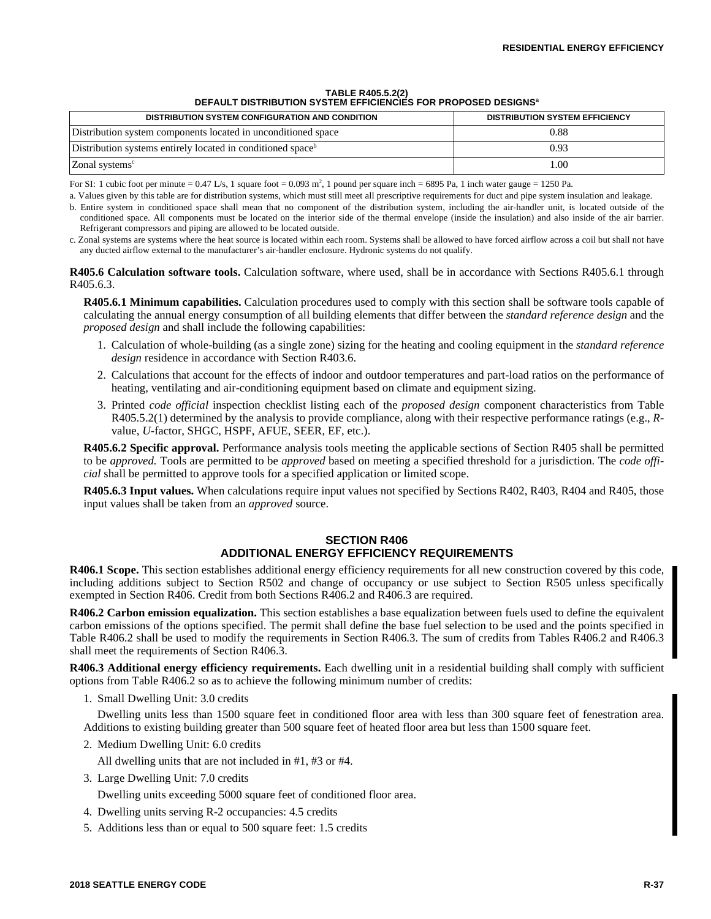| DEFAULT DISTRIBUTION SYSTEM EFFICIENCIES FOR PROPOSED DESIGNS"          |                                       |  |  |
|-------------------------------------------------------------------------|---------------------------------------|--|--|
| <b>DISTRIBUTION SYSTEM CONFIGURATION AND CONDITION</b>                  | <b>DISTRIBUTION SYSTEM EFFICIENCY</b> |  |  |
| Distribution system components located in unconditioned space           | 0.88                                  |  |  |
| Distribution systems entirely located in conditioned space <sup>b</sup> | 0.93                                  |  |  |
| Zonal systems <sup>c</sup>                                              | 1.00                                  |  |  |

#### **TABLE R405.5.2(2) DEFAULT DISTRIBUTION SYSTEM EFFICIENCIES FOR PROPOSED DESIGNS<sup>a</sup>**

For SI: 1 cubic foot per minute  $= 0.47$  L/s, 1 square foot  $= 0.093$  m<sup>2</sup>, 1 pound per square inch  $= 6895$  Pa, 1 inch water gauge  $= 1250$  Pa.

a. Values given by this table are for distribution systems, which must still meet all prescriptive requirements for duct and pipe system insulation and leakage.

b. Entire system in conditioned space shall mean that no component of the distribution system, including the air-handler unit, is located outside of the conditioned space. All components must be located on the interior side of the thermal envelope (inside the insulation) and also inside of the air barrier. Refrigerant compressors and piping are allowed to be located outside.

c. Zonal systems are systems where the heat source is located within each room. Systems shall be allowed to have forced airflow across a coil but shall not have any ducted airflow external to the manufacturer's air-handler enclosure. Hydronic systems do not qualify.

**R405.6 Calculation software tools.** Calculation software, where used, shall be in accordance with Sections R405.6.1 through R405.6.3.

**R405.6.1 Minimum capabilities.** Calculation procedures used to comply with this section shall be software tools capable of calculating the annual energy consumption of all building elements that differ between the *standard reference design* and the *proposed design* and shall include the following capabilities:

- 1. Calculation of whole-building (as a single zone) sizing for the heating and cooling equipment in the *standard reference design* residence in accordance with Section R403.6.
- 2. Calculations that account for the effects of indoor and outdoor temperatures and part-load ratios on the performance of heating, ventilating and air-conditioning equipment based on climate and equipment sizing.
- 3. Printed *code official* inspection checklist listing each of the *proposed design* component characteristics from Table R405.5.2(1) determined by the analysis to provide compliance, along with their respective performance ratings (e.g., *R*value, *U-*factor, SHGC, HSPF, AFUE, SEER, EF, etc.).

**R405.6.2 Specific approval.** Performance analysis tools meeting the applicable sections of Section R405 shall be permitted to be *approved.* Tools are permitted to be *approved* based on meeting a specified threshold for a jurisdiction. The *code official* shall be permitted to approve tools for a specified application or limited scope.

**R405.6.3 Input values.** When calculations require input values not specified by Sections R402, R403, R404 and R405, those input values shall be taken from an *approved* source.

# **SECTION R406 ADDITIONAL ENERGY EFFICIENCY REQUIREMENTS**

**R406.1 Scope.** This section establishes additional energy efficiency requirements for all new construction covered by this code, including additions subject to Section R502 and change of occupancy or use subject to Section R505 unless specifically exempted in Section R406. Credit from both Sections R406.2 and R406.3 are required.

**R406.2 Carbon emission equalization.** This section establishes a base equalization between fuels used to define the equivalent carbon emissions of the options specified. The permit shall define the base fuel selection to be used and the points specified in Table R406.2 shall be used to modify the requirements in Section R406.3. The sum of credits from Tables R406.2 and R406.3 shall meet the requirements of Section R406.3.

**R406.3 Additional energy efficiency requirements.** Each dwelling unit in a residential building shall comply with sufficient options from Table R406.2 so as to achieve the following minimum number of credits:

1. Small Dwelling Unit: 3.0 credits

Dwelling units less than 1500 square feet in conditioned floor area with less than 300 square feet of fenestration area. Additions to existing building greater than 500 square feet of heated floor area but less than 1500 square feet.

- 2. Medium Dwelling Unit: 6.0 credits
	- All dwelling units that are not included in #1, #3 or #4.
- 3. Large Dwelling Unit: 7.0 credits

Dwelling units exceeding 5000 square feet of conditioned floor area.

- 4. Dwelling units serving R-2 occupancies: 4.5 credits
- 5. Additions less than or equal to 500 square feet: 1.5 credits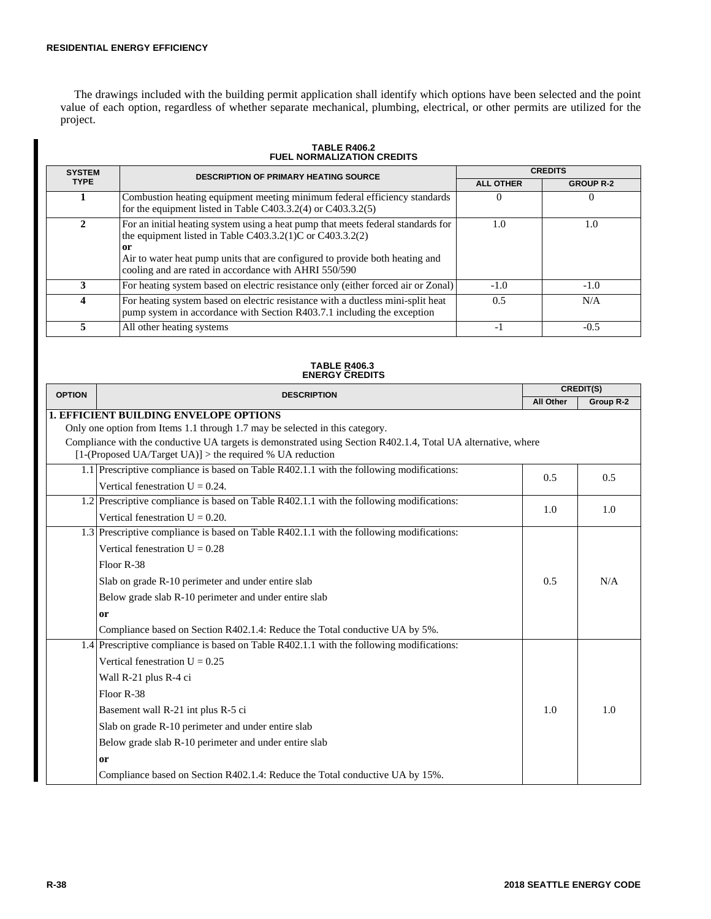The drawings included with the building permit application shall identify which options have been selected and the point value of each option, regardless of whether separate mechanical, plumbing, electrical, or other permits are utilized for the project.

| <b>SYSTEM</b> | <b>DESCRIPTION OF PRIMARY HEATING SOURCE</b>                                                                                                                                                                                                                                                 | <b>CREDITS</b>   |                  |  |  |
|---------------|----------------------------------------------------------------------------------------------------------------------------------------------------------------------------------------------------------------------------------------------------------------------------------------------|------------------|------------------|--|--|
| <b>TYPE</b>   |                                                                                                                                                                                                                                                                                              | <b>ALL OTHER</b> | <b>GROUP R-2</b> |  |  |
|               | Combustion heating equipment meeting minimum federal efficiency standards<br>for the equipment listed in Table $C403.3.2(4)$ or $C403.3.2(5)$                                                                                                                                                | 0                | O                |  |  |
| 2             | For an initial heating system using a heat pump that meets federal standards for<br>the equipment listed in Table C403.3.2(1)C or C403.3.2(2)<br>or<br>Air to water heat pump units that are configured to provide both heating and<br>cooling and are rated in accordance with AHRI 550/590 | 1.0              | 1.0              |  |  |
|               | For heating system based on electric resistance only (either forced air or Zonal)                                                                                                                                                                                                            | $-1.0$           | $-1.0$           |  |  |
| 4             | For heating system based on electric resistance with a ductless mini-split heat<br>pump system in accordance with Section R403.7.1 including the exception                                                                                                                                   | 0.5              | N/A              |  |  |
|               | All other heating systems                                                                                                                                                                                                                                                                    | - 1              | $-0.5$           |  |  |

#### **TABLE R406.2 FUEL NORMALIZATION CREDITS**

#### **TABLE R406.3 ENERGY CREDITS**

| <b>OPTION</b> | <b>DESCRIPTION</b>                                                                                                                                                           | <b>CREDIT(S)</b> |           |  |
|---------------|------------------------------------------------------------------------------------------------------------------------------------------------------------------------------|------------------|-----------|--|
|               |                                                                                                                                                                              | <b>All Other</b> | Group R-2 |  |
|               | <b>1. EFFICIENT BUILDING ENVELOPE OPTIONS</b>                                                                                                                                |                  |           |  |
|               | Only one option from Items 1.1 through 1.7 may be selected in this category.                                                                                                 |                  |           |  |
|               | Compliance with the conductive UA targets is demonstrated using Section R402.1.4, Total UA alternative, where<br>[1-(Proposed UA/Target UA)] $>$ the required % UA reduction |                  |           |  |
|               | 1.1 Prescriptive compliance is based on Table R402.1.1 with the following modifications:                                                                                     |                  |           |  |
|               | Vertical fenestration $U = 0.24$ .                                                                                                                                           | 0.5              | 0.5       |  |
|               | 1.2 Prescriptive compliance is based on Table R402.1.1 with the following modifications:                                                                                     | 1.0              | 1.0       |  |
|               | Vertical fenestration $U = 0.20$ .                                                                                                                                           |                  |           |  |
|               | 1.3 Prescriptive compliance is based on Table R402.1.1 with the following modifications:                                                                                     |                  |           |  |
|               | Vertical fenestration $U = 0.28$                                                                                                                                             |                  |           |  |
|               | Floor R-38                                                                                                                                                                   |                  |           |  |
|               | Slab on grade R-10 perimeter and under entire slab                                                                                                                           | 0.5              | N/A       |  |
|               | Below grade slab R-10 perimeter and under entire slab                                                                                                                        |                  |           |  |
|               | <b>or</b>                                                                                                                                                                    |                  |           |  |
|               | Compliance based on Section R402.1.4: Reduce the Total conductive UA by 5%.                                                                                                  |                  |           |  |
|               | 1.4 Prescriptive compliance is based on Table R402.1.1 with the following modifications:                                                                                     |                  |           |  |
|               | Vertical fenestration $U = 0.25$                                                                                                                                             |                  |           |  |
|               | Wall R-21 plus R-4 ci                                                                                                                                                        |                  |           |  |
|               | Floor R-38                                                                                                                                                                   |                  |           |  |
|               | Basement wall R-21 int plus R-5 ci                                                                                                                                           | 1.0              | 1.0       |  |
|               | Slab on grade R-10 perimeter and under entire slab                                                                                                                           |                  |           |  |
|               | Below grade slab R-10 perimeter and under entire slab                                                                                                                        |                  |           |  |
|               | <sub>or</sub>                                                                                                                                                                |                  |           |  |
|               | Compliance based on Section R402.1.4: Reduce the Total conductive UA by 15%.                                                                                                 |                  |           |  |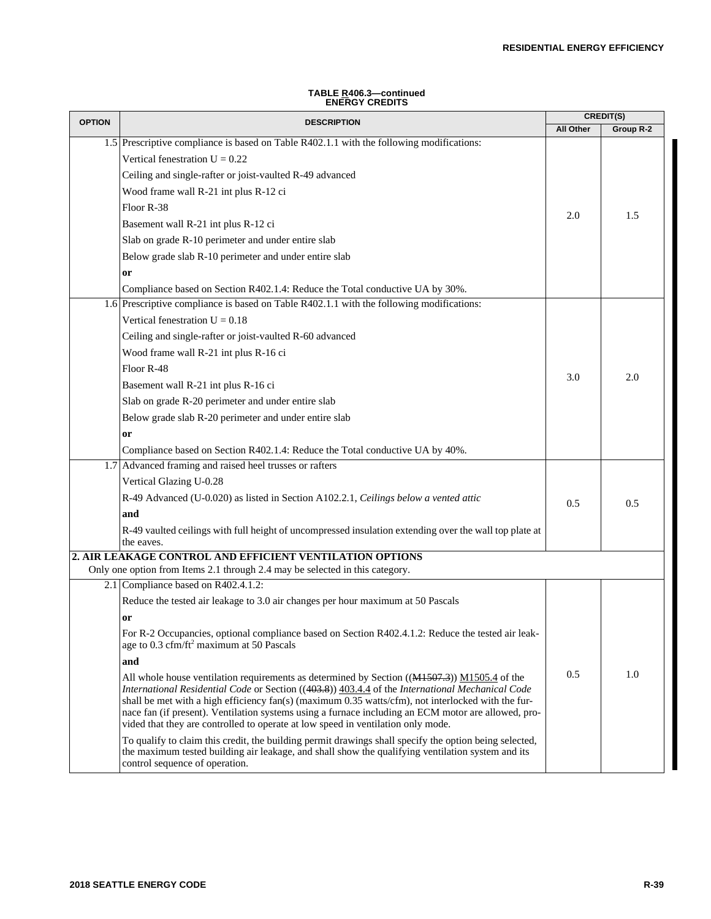| TABLE R406.3-continued |
|------------------------|
| <b>ENERGY CREDITS</b>  |

| <b>OPTION</b> | <b>DESCRIPTION</b>                                                                                                                                                                                          | CREDIT(S) |           |
|---------------|-------------------------------------------------------------------------------------------------------------------------------------------------------------------------------------------------------------|-----------|-----------|
|               |                                                                                                                                                                                                             | All Other | Group R-2 |
|               | 1.5 Prescriptive compliance is based on Table R402.1.1 with the following modifications:                                                                                                                    |           |           |
|               | Vertical fenestration $U = 0.22$                                                                                                                                                                            |           |           |
|               | Ceiling and single-rafter or joist-vaulted R-49 advanced                                                                                                                                                    |           |           |
|               | Wood frame wall R-21 int plus R-12 ci                                                                                                                                                                       |           |           |
|               | Floor R-38                                                                                                                                                                                                  | 2.0       | 1.5       |
|               | Basement wall R-21 int plus R-12 ci                                                                                                                                                                         |           |           |
|               | Slab on grade R-10 perimeter and under entire slab                                                                                                                                                          |           |           |
|               | Below grade slab R-10 perimeter and under entire slab                                                                                                                                                       |           |           |
|               | or                                                                                                                                                                                                          |           |           |
|               | Compliance based on Section R402.1.4: Reduce the Total conductive UA by 30%.                                                                                                                                |           |           |
| 1.6           | Prescriptive compliance is based on Table R402.1.1 with the following modifications:                                                                                                                        |           |           |
|               | Vertical fenestration $U = 0.18$                                                                                                                                                                            |           |           |
|               | Ceiling and single-rafter or joist-vaulted R-60 advanced                                                                                                                                                    |           |           |
|               | Wood frame wall R-21 int plus R-16 ci                                                                                                                                                                       |           |           |
|               | Floor R-48                                                                                                                                                                                                  |           |           |
|               | Basement wall R-21 int plus R-16 ci                                                                                                                                                                         | 3.0       | 2.0       |
|               | Slab on grade R-20 perimeter and under entire slab                                                                                                                                                          |           |           |
|               | Below grade slab R-20 perimeter and under entire slab                                                                                                                                                       |           |           |
|               | or                                                                                                                                                                                                          |           |           |
|               | Compliance based on Section R402.1.4: Reduce the Total conductive UA by 40%.                                                                                                                                |           |           |
|               | 1.7 Advanced framing and raised heel trusses or rafters                                                                                                                                                     |           |           |
|               | Vertical Glazing U-0.28                                                                                                                                                                                     |           |           |
|               | R-49 Advanced (U-0.020) as listed in Section A102.2.1, Ceilings below a vented attic                                                                                                                        |           |           |
|               | and                                                                                                                                                                                                         | 0.5       | 0.5       |
|               | R-49 vaulted ceilings with full height of uncompressed insulation extending over the wall top plate at                                                                                                      |           |           |
|               | the eaves.                                                                                                                                                                                                  |           |           |
|               | 2. AIR LEAKAGE CONTROL AND EFFICIENT VENTILATION OPTIONS                                                                                                                                                    |           |           |
|               | Only one option from Items 2.1 through 2.4 may be selected in this category.                                                                                                                                |           |           |
|               | 2.1 Compliance based on R402.4.1.2:                                                                                                                                                                         |           |           |
|               | Reduce the tested air leakage to 3.0 air changes per hour maximum at 50 Pascals                                                                                                                             |           |           |
|               | or                                                                                                                                                                                                          |           |           |
|               | For R-2 Occupancies, optional compliance based on Section R402.4.1.2: Reduce the tested air leak-                                                                                                           |           |           |
|               | age to $0.3 \text{ cfm/ft}^2$ maximum at 50 Pascals                                                                                                                                                         |           |           |
|               | and                                                                                                                                                                                                         |           |           |
|               | All whole house ventilation requirements as determined by Section $((M1507.3))$ $M1505.4$ of the<br>International Residential Code or Section ((403.8)) 403.4.4 of the International Mechanical Code        | 0.5       | 1.0       |
|               | shall be met with a high efficiency fan(s) (maximum 0.35 watts/cfm), not interlocked with the fur-                                                                                                          |           |           |
|               | nace fan (if present). Ventilation systems using a furnace including an ECM motor are allowed, pro-                                                                                                         |           |           |
|               | vided that they are controlled to operate at low speed in ventilation only mode.                                                                                                                            |           |           |
|               | To qualify to claim this credit, the building permit drawings shall specify the option being selected,<br>the maximum tested building air leakage, and shall show the qualifying ventilation system and its |           |           |
|               | control sequence of operation.                                                                                                                                                                              |           |           |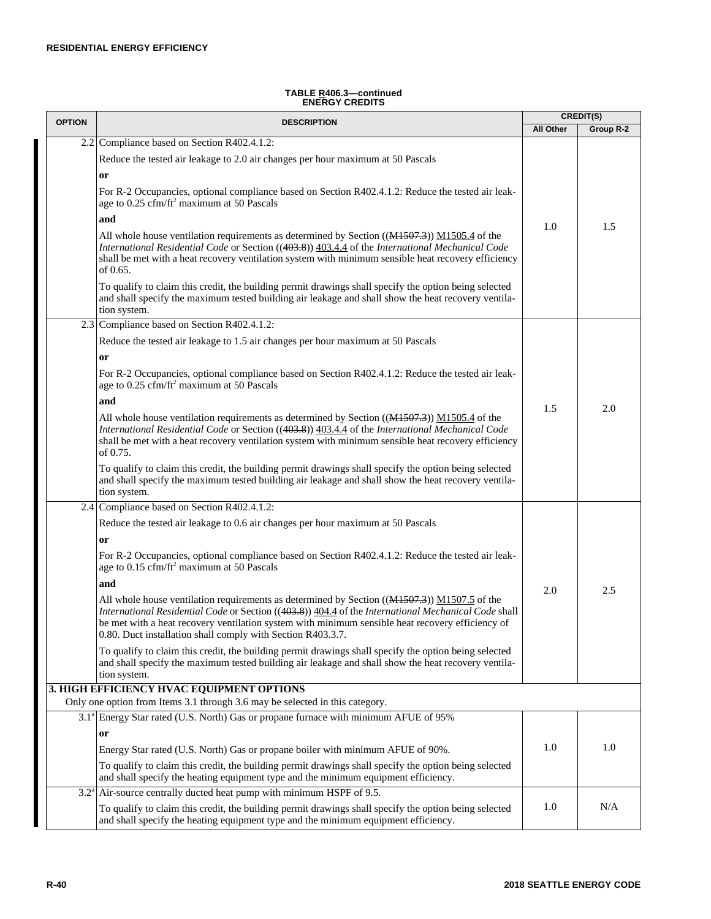| TABLE <u>R</u> 406.3—continued |  |
|--------------------------------|--|
| <b>ENERGY CREDITS</b>          |  |

| <b>OPTION</b> | <b>DESCRIPTION</b>                                                                                                                                                                                                                                                                                                                                                          |                  | <b>CREDIT(S)</b> |
|---------------|-----------------------------------------------------------------------------------------------------------------------------------------------------------------------------------------------------------------------------------------------------------------------------------------------------------------------------------------------------------------------------|------------------|------------------|
|               |                                                                                                                                                                                                                                                                                                                                                                             | <b>All Other</b> | Group R-2        |
|               | 2.2 Compliance based on Section R402.4.1.2:                                                                                                                                                                                                                                                                                                                                 |                  |                  |
|               | Reduce the tested air leakage to 2.0 air changes per hour maximum at 50 Pascals                                                                                                                                                                                                                                                                                             |                  |                  |
|               | <b>or</b>                                                                                                                                                                                                                                                                                                                                                                   |                  |                  |
|               | For R-2 Occupancies, optional compliance based on Section R402.4.1.2: Reduce the tested air leak-<br>age to 0.25 cfm/ft <sup>2</sup> maximum at 50 Pascals                                                                                                                                                                                                                  |                  |                  |
|               | and                                                                                                                                                                                                                                                                                                                                                                         | 1.0              | 1.5              |
|               | All whole house ventilation requirements as determined by Section $((M1507.3))$ $M1505.4$ of the<br>International Residential Code or Section ((403.8)) 403.4.4 of the International Mechanical Code<br>shall be met with a heat recovery ventilation system with minimum sensible heat recovery efficiency<br>of 0.65.                                                     |                  |                  |
|               | To qualify to claim this credit, the building permit drawings shall specify the option being selected<br>and shall specify the maximum tested building air leakage and shall show the heat recovery ventila-<br>tion system.                                                                                                                                                |                  |                  |
|               | 2.3 Compliance based on Section R402.4.1.2:                                                                                                                                                                                                                                                                                                                                 |                  |                  |
|               | Reduce the tested air leakage to 1.5 air changes per hour maximum at 50 Pascals                                                                                                                                                                                                                                                                                             |                  |                  |
|               | <b>or</b>                                                                                                                                                                                                                                                                                                                                                                   |                  |                  |
|               | For R-2 Occupancies, optional compliance based on Section R402.4.1.2: Reduce the tested air leak-<br>age to 0.25 cfm/ft <sup>2</sup> maximum at 50 Pascals                                                                                                                                                                                                                  |                  |                  |
|               | and                                                                                                                                                                                                                                                                                                                                                                         |                  |                  |
|               | All whole house ventilation requirements as determined by Section $((M1507.3))$ $M1505.4$ of the<br>International Residential Code or Section ((403.8)) 403.4.4 of the International Mechanical Code<br>shall be met with a heat recovery ventilation system with minimum sensible heat recovery efficiency<br>of 0.75.                                                     | 1.5              | 2.0              |
|               | To qualify to claim this credit, the building permit drawings shall specify the option being selected<br>and shall specify the maximum tested building air leakage and shall show the heat recovery ventila-<br>tion system.                                                                                                                                                |                  |                  |
|               | 2.4 Compliance based on Section R402.4.1.2:                                                                                                                                                                                                                                                                                                                                 |                  |                  |
|               | Reduce the tested air leakage to 0.6 air changes per hour maximum at 50 Pascals                                                                                                                                                                                                                                                                                             |                  |                  |
|               | <sub>or</sub>                                                                                                                                                                                                                                                                                                                                                               |                  |                  |
|               | For R-2 Occupancies, optional compliance based on Section R402.4.1.2: Reduce the tested air leak-<br>age to 0.15 cfm/ft <sup>2</sup> maximum at 50 Pascals                                                                                                                                                                                                                  |                  |                  |
|               | and                                                                                                                                                                                                                                                                                                                                                                         | 2.0              | 2.5              |
|               | All whole house ventilation requirements as determined by Section $((M1507.3))$ $M1507.5$ of the<br>International Residential Code or Section ((403.8)) 404.4 of the International Mechanical Code shall<br>be met with a heat recovery ventilation system with minimum sensible heat recovery efficiency of<br>0.80. Duct installation shall comply with Section R403.3.7. |                  |                  |
|               | To qualify to claim this credit, the building permit drawings shall specify the option being selected<br>and shall specify the maximum tested building air leakage and shall show the heat recovery ventila-<br>tion system.                                                                                                                                                |                  |                  |
|               | 3. HIGH EFFICIENCY HVAC EQUIPMENT OPTIONS                                                                                                                                                                                                                                                                                                                                   |                  |                  |
|               | Only one option from Items 3.1 through 3.6 may be selected in this category.                                                                                                                                                                                                                                                                                                |                  |                  |
|               | 3.1 <sup>a</sup> Energy Star rated (U.S. North) Gas or propane furnace with minimum AFUE of 95%                                                                                                                                                                                                                                                                             |                  |                  |
|               | or                                                                                                                                                                                                                                                                                                                                                                          |                  |                  |
|               | Energy Star rated (U.S. North) Gas or propane boiler with minimum AFUE of 90%.                                                                                                                                                                                                                                                                                              | 1.0              | 1.0              |
|               | To qualify to claim this credit, the building permit drawings shall specify the option being selected<br>and shall specify the heating equipment type and the minimum equipment efficiency.                                                                                                                                                                                 |                  |                  |
|               | $3.2^{\circ}$ Air-source centrally ducted heat pump with minimum HSPF of 9.5.                                                                                                                                                                                                                                                                                               |                  |                  |
|               | To qualify to claim this credit, the building permit drawings shall specify the option being selected<br>and shall specify the heating equipment type and the minimum equipment efficiency.                                                                                                                                                                                 | 1.0              | N/A              |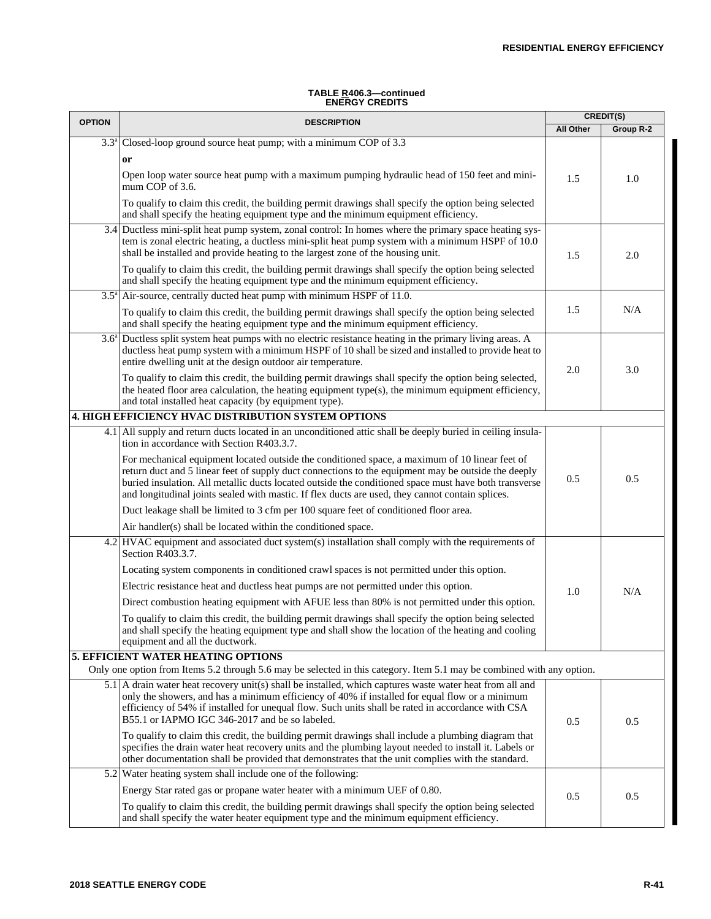#### **TABLE R406.3—continued ENERGY CREDITS**

| <b>OPTION</b> | <b>DESCRIPTION</b>                                                                                                                                                                                                                                                                                                                                                                                                 |           | <b>CREDIT(S)</b> |
|---------------|--------------------------------------------------------------------------------------------------------------------------------------------------------------------------------------------------------------------------------------------------------------------------------------------------------------------------------------------------------------------------------------------------------------------|-----------|------------------|
|               |                                                                                                                                                                                                                                                                                                                                                                                                                    | All Other | Group R-2        |
| $3.3^{\circ}$ | Closed-loop ground source heat pump; with a minimum COP of 3.3                                                                                                                                                                                                                                                                                                                                                     |           |                  |
|               | or                                                                                                                                                                                                                                                                                                                                                                                                                 |           |                  |
|               | Open loop water source heat pump with a maximum pumping hydraulic head of 150 feet and mini-<br>mum COP of 3.6.                                                                                                                                                                                                                                                                                                    | 1.5       | 1.0              |
|               | To qualify to claim this credit, the building permit drawings shall specify the option being selected<br>and shall specify the heating equipment type and the minimum equipment efficiency.                                                                                                                                                                                                                        |           |                  |
|               | 3.4 Ductless mini-split heat pump system, zonal control: In homes where the primary space heating sys-<br>tem is zonal electric heating, a ductless mini-split heat pump system with a minimum HSPF of 10.0<br>shall be installed and provide heating to the largest zone of the housing unit.                                                                                                                     | 1.5       | 2.0              |
|               | To qualify to claim this credit, the building permit drawings shall specify the option being selected<br>and shall specify the heating equipment type and the minimum equipment efficiency.                                                                                                                                                                                                                        |           |                  |
|               | $3.5^{\circ}$ Air-source, centrally ducted heat pump with minimum HSPF of 11.0.                                                                                                                                                                                                                                                                                                                                    |           |                  |
|               | To qualify to claim this credit, the building permit drawings shall specify the option being selected<br>and shall specify the heating equipment type and the minimum equipment efficiency.                                                                                                                                                                                                                        | 1.5       | N/A              |
|               | $3.6a$ Ductless split system heat pumps with no electric resistance heating in the primary living areas. A<br>ductless heat pump system with a minimum HSPF of 10 shall be sized and installed to provide heat to<br>entire dwelling unit at the design outdoor air temperature.                                                                                                                                   | 2.0       | 3.0              |
|               | To qualify to claim this credit, the building permit drawings shall specify the option being selected,<br>the heated floor area calculation, the heating equipment type(s), the minimum equipment efficiency,<br>and total installed heat capacity (by equipment type).                                                                                                                                            |           |                  |
|               | <b>4. HIGH EFFICIENCY HVAC DISTRIBUTION SYSTEM OPTIONS</b>                                                                                                                                                                                                                                                                                                                                                         |           |                  |
|               | 4.1 All supply and return ducts located in an unconditioned attic shall be deeply buried in ceiling insula-<br>tion in accordance with Section R403.3.7.                                                                                                                                                                                                                                                           |           |                  |
|               | For mechanical equipment located outside the conditioned space, a maximum of 10 linear feet of<br>return duct and 5 linear feet of supply duct connections to the equipment may be outside the deeply<br>buried insulation. All metallic ducts located outside the conditioned space must have both transverse<br>and longitudinal joints sealed with mastic. If flex ducts are used, they cannot contain splices. | 0.5       | 0.5              |
|               | Duct leakage shall be limited to 3 cfm per 100 square feet of conditioned floor area.                                                                                                                                                                                                                                                                                                                              |           |                  |
|               | Air handler(s) shall be located within the conditioned space.                                                                                                                                                                                                                                                                                                                                                      |           |                  |
|               | 4.2 HVAC equipment and associated duct system(s) installation shall comply with the requirements of<br>Section R403.3.7.                                                                                                                                                                                                                                                                                           |           |                  |
|               | Locating system components in conditioned crawl spaces is not permitted under this option.                                                                                                                                                                                                                                                                                                                         |           |                  |
|               | Electric resistance heat and ductless heat pumps are not permitted under this option.                                                                                                                                                                                                                                                                                                                              | 1.0       | N/A              |
|               | Direct combustion heating equipment with AFUE less than 80% is not permitted under this option.                                                                                                                                                                                                                                                                                                                    |           |                  |
|               | To qualify to claim this credit, the building permit drawings shall specify the option being selected<br>and shall specify the heating equipment type and shall show the location of the heating and cooling<br>equipment and all the ductwork.                                                                                                                                                                    |           |                  |
|               | <b>5. EFFICIENT WATER HEATING OPTIONS</b>                                                                                                                                                                                                                                                                                                                                                                          |           |                  |
|               | Only one option from Items 5.2 through 5.6 may be selected in this category. Item 5.1 may be combined with any option.                                                                                                                                                                                                                                                                                             |           |                  |
|               | 5.1 A drain water heat recovery unit(s) shall be installed, which captures waste water heat from all and<br>only the showers, and has a minimum efficiency of 40% if installed for equal flow or a minimum<br>efficiency of 54% if installed for unequal flow. Such units shall be rated in accordance with CSA<br>B55.1 or IAPMO IGC 346-2017 and be so labeled.                                                  | 0.5       | 0.5              |
|               | To qualify to claim this credit, the building permit drawings shall include a plumbing diagram that<br>specifies the drain water heat recovery units and the plumbing layout needed to install it. Labels or<br>other documentation shall be provided that demonstrates that the unit complies with the standard.                                                                                                  |           |                  |
|               | 5.2 Water heating system shall include one of the following:                                                                                                                                                                                                                                                                                                                                                       |           |                  |
|               | Energy Star rated gas or propane water heater with a minimum UEF of 0.80.                                                                                                                                                                                                                                                                                                                                          | 0.5       | 0.5              |
|               | To qualify to claim this credit, the building permit drawings shall specify the option being selected<br>and shall specify the water heater equipment type and the minimum equipment efficiency.                                                                                                                                                                                                                   |           |                  |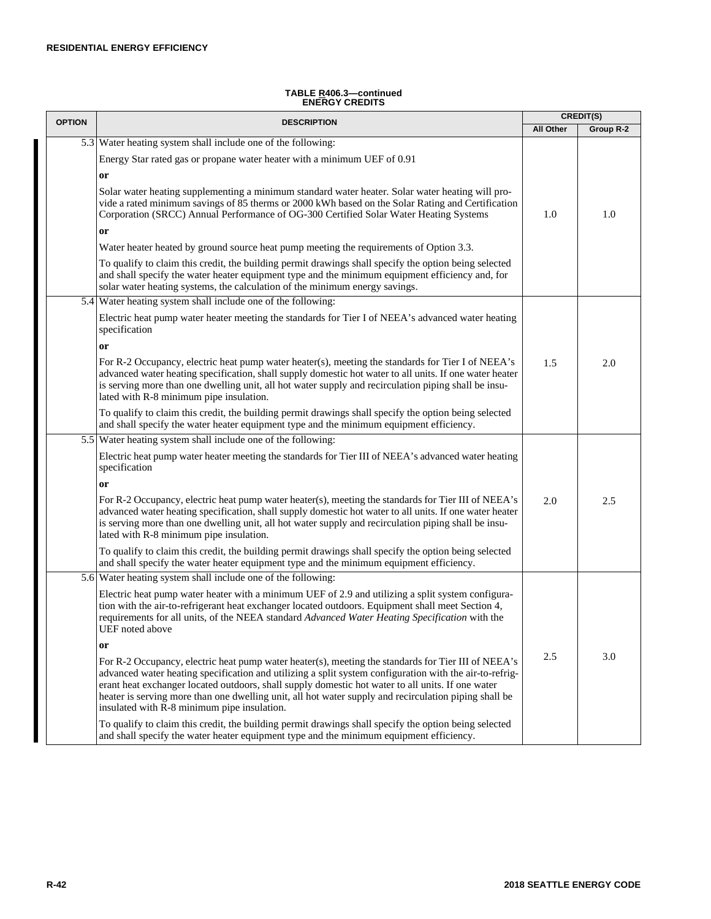#### **TABLE R406.3—continued ENERGY CREDITS**

| <b>OPTION</b> | <b>DESCRIPTION</b>                                                                                                                                                                                                                                                                                                                                                                                                                                                          |           | <b>CREDIT(S)</b> |
|---------------|-----------------------------------------------------------------------------------------------------------------------------------------------------------------------------------------------------------------------------------------------------------------------------------------------------------------------------------------------------------------------------------------------------------------------------------------------------------------------------|-----------|------------------|
|               |                                                                                                                                                                                                                                                                                                                                                                                                                                                                             | All Other | Group R-2        |
|               | 5.3 Water heating system shall include one of the following:                                                                                                                                                                                                                                                                                                                                                                                                                |           |                  |
|               | Energy Star rated gas or propane water heater with a minimum UEF of 0.91                                                                                                                                                                                                                                                                                                                                                                                                    |           |                  |
|               | or                                                                                                                                                                                                                                                                                                                                                                                                                                                                          |           |                  |
|               | Solar water heating supplementing a minimum standard water heater. Solar water heating will pro-<br>vide a rated minimum savings of 85 therms or 2000 kWh based on the Solar Rating and Certification<br>Corporation (SRCC) Annual Performance of OG-300 Certified Solar Water Heating Systems                                                                                                                                                                              | 1.0       | 1.0              |
|               | or                                                                                                                                                                                                                                                                                                                                                                                                                                                                          |           |                  |
|               | Water heater heated by ground source heat pump meeting the requirements of Option 3.3.                                                                                                                                                                                                                                                                                                                                                                                      |           |                  |
|               | To qualify to claim this credit, the building permit drawings shall specify the option being selected<br>and shall specify the water heater equipment type and the minimum equipment efficiency and, for<br>solar water heating systems, the calculation of the minimum energy savings.                                                                                                                                                                                     |           |                  |
|               | 5.4 Water heating system shall include one of the following:                                                                                                                                                                                                                                                                                                                                                                                                                |           |                  |
|               | Electric heat pump water heater meeting the standards for Tier I of NEEA's advanced water heating<br>specification                                                                                                                                                                                                                                                                                                                                                          |           |                  |
|               | or                                                                                                                                                                                                                                                                                                                                                                                                                                                                          |           |                  |
|               | For R-2 Occupancy, electric heat pump water heater(s), meeting the standards for Tier I of NEEA's<br>advanced water heating specification, shall supply domestic hot water to all units. If one water heater<br>is serving more than one dwelling unit, all hot water supply and recirculation piping shall be insu-<br>lated with R-8 minimum pipe insulation.                                                                                                             | 1.5       | 2.0              |
|               | To qualify to claim this credit, the building permit drawings shall specify the option being selected<br>and shall specify the water heater equipment type and the minimum equipment efficiency.                                                                                                                                                                                                                                                                            |           |                  |
|               | 5.5 Water heating system shall include one of the following:                                                                                                                                                                                                                                                                                                                                                                                                                |           |                  |
|               | Electric heat pump water heater meeting the standards for Tier III of NEEA's advanced water heating<br>specification                                                                                                                                                                                                                                                                                                                                                        |           |                  |
|               | or                                                                                                                                                                                                                                                                                                                                                                                                                                                                          |           |                  |
|               | For R-2 Occupancy, electric heat pump water heater(s), meeting the standards for Tier III of NEEA's<br>advanced water heating specification, shall supply domestic hot water to all units. If one water heater<br>is serving more than one dwelling unit, all hot water supply and recirculation piping shall be insu-<br>lated with R-8 minimum pipe insulation.                                                                                                           | 2.0       | 2.5              |
|               | To qualify to claim this credit, the building permit drawings shall specify the option being selected<br>and shall specify the water heater equipment type and the minimum equipment efficiency.                                                                                                                                                                                                                                                                            |           |                  |
|               | 5.6 Water heating system shall include one of the following:                                                                                                                                                                                                                                                                                                                                                                                                                |           |                  |
|               | Electric heat pump water heater with a minimum UEF of 2.9 and utilizing a split system configura-<br>tion with the air-to-refrigerant heat exchanger located outdoors. Equipment shall meet Section 4,<br>requirements for all units, of the NEEA standard Advanced Water Heating Specification with the<br>UEF noted above                                                                                                                                                 |           |                  |
|               | or                                                                                                                                                                                                                                                                                                                                                                                                                                                                          |           |                  |
|               | For R-2 Occupancy, electric heat pump water heater(s), meeting the standards for Tier III of NEEA's<br>advanced water heating specification and utilizing a split system configuration with the air-to-refrig-<br>erant heat exchanger located outdoors, shall supply domestic hot water to all units. If one water<br>heater is serving more than one dwelling unit, all hot water supply and recirculation piping shall be<br>insulated with R-8 minimum pipe insulation. | 2.5       | 3.0              |
|               | To qualify to claim this credit, the building permit drawings shall specify the option being selected<br>and shall specify the water heater equipment type and the minimum equipment efficiency.                                                                                                                                                                                                                                                                            |           |                  |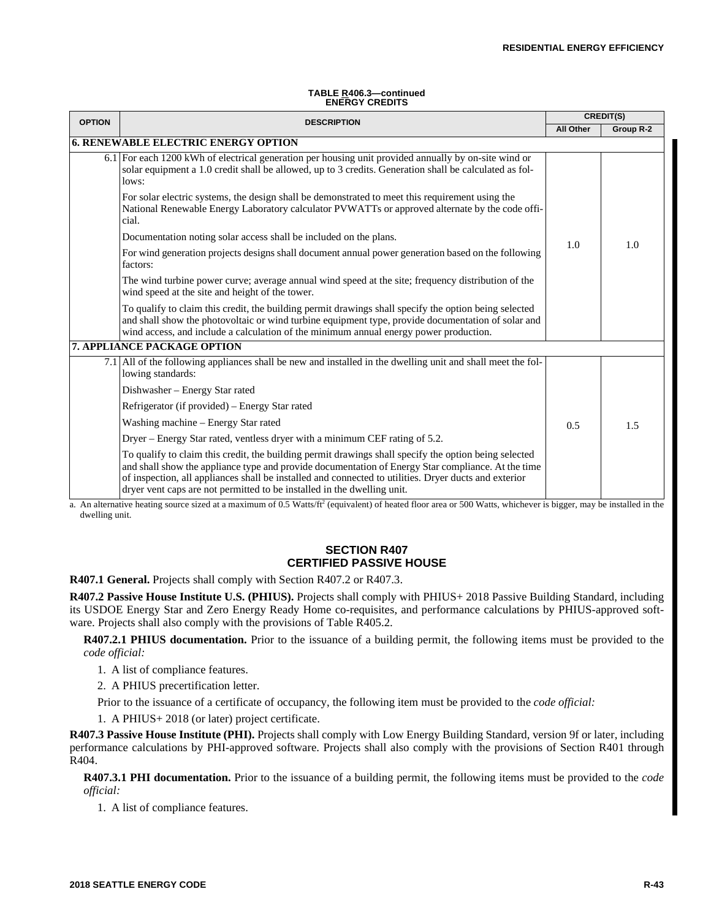#### **TABLE R406.3—continued ENERGY CREDITS**

| <b>OPTION</b>                              | <b>DESCRIPTION</b>                                                                                                                                                                                                                                                                                                                                                                              | <b>CREDIT(S)</b> |           |
|--------------------------------------------|-------------------------------------------------------------------------------------------------------------------------------------------------------------------------------------------------------------------------------------------------------------------------------------------------------------------------------------------------------------------------------------------------|------------------|-----------|
|                                            |                                                                                                                                                                                                                                                                                                                                                                                                 | <b>All Other</b> | Group R-2 |
| <b>6. RENEWABLE ELECTRIC ENERGY OPTION</b> |                                                                                                                                                                                                                                                                                                                                                                                                 |                  |           |
|                                            | 6.1 For each 1200 kWh of electrical generation per housing unit provided annually by on-site wind or<br>solar equipment a 1.0 credit shall be allowed, up to 3 credits. Generation shall be calculated as fol-<br>lows:                                                                                                                                                                         | 1.0              | 1.0       |
|                                            | For solar electric systems, the design shall be demonstrated to meet this requirement using the<br>National Renewable Energy Laboratory calculator PVWATTs or approved alternate by the code offi-<br>cial.                                                                                                                                                                                     |                  |           |
|                                            | Documentation noting solar access shall be included on the plans.                                                                                                                                                                                                                                                                                                                               |                  |           |
|                                            | For wind generation projects designs shall document annual power generation based on the following<br>factors:                                                                                                                                                                                                                                                                                  |                  |           |
|                                            | The wind turbine power curve; average annual wind speed at the site; frequency distribution of the<br>wind speed at the site and height of the tower.                                                                                                                                                                                                                                           |                  |           |
|                                            | To qualify to claim this credit, the building permit drawings shall specify the option being selected<br>and shall show the photovoltaic or wind turbine equipment type, provide documentation of solar and<br>wind access, and include a calculation of the minimum annual energy power production.                                                                                            |                  |           |
|                                            | <b>7. APPLIANCE PACKAGE OPTION</b>                                                                                                                                                                                                                                                                                                                                                              |                  |           |
|                                            | 7.1 All of the following appliances shall be new and installed in the dwelling unit and shall meet the fol-<br>lowing standards:                                                                                                                                                                                                                                                                | 0.5              | 1.5       |
|                                            | Dishwasher - Energy Star rated                                                                                                                                                                                                                                                                                                                                                                  |                  |           |
|                                            | Refrigerator (if provided) – Energy Star rated                                                                                                                                                                                                                                                                                                                                                  |                  |           |
|                                            | Washing machine - Energy Star rated                                                                                                                                                                                                                                                                                                                                                             |                  |           |
|                                            | Dryer – Energy Star rated, ventless dryer with a minimum CEF rating of 5.2.                                                                                                                                                                                                                                                                                                                     |                  |           |
|                                            | To qualify to claim this credit, the building permit drawings shall specify the option being selected<br>and shall show the appliance type and provide documentation of Energy Star compliance. At the time<br>of inspection, all appliances shall be installed and connected to utilities. Dryer ducts and exterior<br>dryer vent caps are not permitted to be installed in the dwelling unit. |                  |           |
|                                            | $\alpha$ An alternative heating source sized at a maximum of 0.5 Watts/ft <sup>2</sup> (equivalent) of heated floor area or 500 Watts, whichever is bigger, may be installed in the                                                                                                                                                                                                             |                  |           |

a. An alternative heating source sized at a maximum of 0.5 Watts/ft<sup>2</sup> iivalent) of heated floor area or 500 Watts, whichever dwelling unit.

# **SECTION R407 CERTIFIED PASSIVE HOUSE**

**R407.1 General.** Projects shall comply with Section R407.2 or R407.3.

**R407.2 Passive House Institute U.S. (PHIUS).** Projects shall comply with PHIUS+ 2018 Passive Building Standard, including its USDOE Energy Star and Zero Energy Ready Home co-requisites, and performance calculations by PHIUS-approved software. Projects shall also comply with the provisions of Table R405.2.

**R407.2.1 PHIUS documentation.** Prior to the issuance of a building permit, the following items must be provided to the *code official:*

1. A list of compliance features.

2. A PHIUS precertification letter.

Prior to the issuance of a certificate of occupancy, the following item must be provided to the *code official:*

1. A PHIUS+ 2018 (or later) project certificate.

**R407.3 Passive House Institute (PHI).** Projects shall comply with Low Energy Building Standard, version 9f or later, including performance calculations by PHI-approved software. Projects shall also comply with the provisions of Section R401 through R404.

**R407.3.1 PHI documentation.** Prior to the issuance of a building permit, the following items must be provided to the *code official:*

1. A list of compliance features.